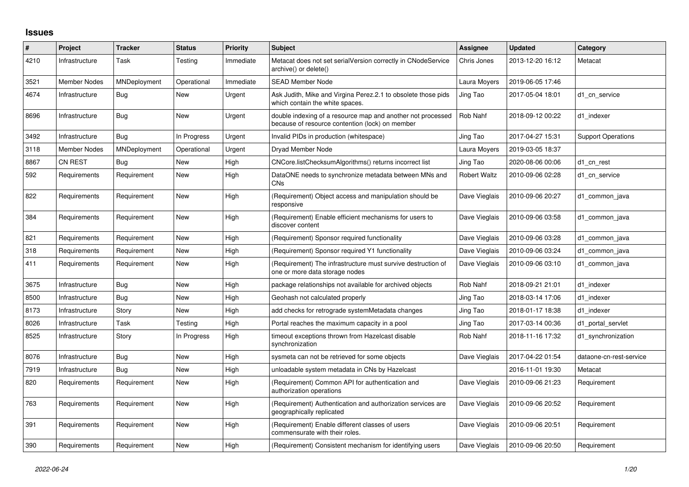## **Issues**

| #    | Project             | <b>Tracker</b> | <b>Status</b> | <b>Priority</b> | Subject                                                                                                        | Assignee            | <b>Updated</b>   | Category                  |
|------|---------------------|----------------|---------------|-----------------|----------------------------------------------------------------------------------------------------------------|---------------------|------------------|---------------------------|
| 4210 | Infrastructure      | Task           | Testing       | Immediate       | Metacat does not set serialVersion correctly in CNodeService<br>archive() or delete()                          | Chris Jones         | 2013-12-20 16:12 | Metacat                   |
| 3521 | <b>Member Nodes</b> | MNDeployment   | Operational   | Immediate       | <b>SEAD Member Node</b>                                                                                        | Laura Moyers        | 2019-06-05 17:46 |                           |
| 4674 | Infrastructure      | <b>Bug</b>     | New           | Urgent          | Ask Judith, Mike and Virgina Perez.2.1 to obsolete those pids<br>which contain the white spaces.               | Jing Tao            | 2017-05-04 18:01 | d1 cn service             |
| 8696 | Infrastructure      | Bug            | <b>New</b>    | Urgent          | double indexing of a resource map and another not processed<br>because of resource contention (lock) on member | Rob Nahf            | 2018-09-12 00:22 | d1 indexer                |
| 3492 | Infrastructure      | Bug            | In Progress   | Urgent          | Invalid PIDs in production (whitespace)                                                                        | Jing Tao            | 2017-04-27 15:31 | <b>Support Operations</b> |
| 3118 | <b>Member Nodes</b> | MNDeployment   | Operational   | Urgent          | Dryad Member Node                                                                                              | Laura Moyers        | 2019-03-05 18:37 |                           |
| 8867 | <b>CN REST</b>      | Bug            | New           | High            | CNCore.listChecksumAlgorithms() returns incorrect list                                                         | Jing Tao            | 2020-08-06 00:06 | d1 cn rest                |
| 592  | Requirements        | Requirement    | New           | High            | DataONE needs to synchronize metadata between MNs and<br><b>CN<sub>s</sub></b>                                 | <b>Robert Waltz</b> | 2010-09-06 02:28 | d1 cn service             |
| 822  | Requirements        | Requirement    | <b>New</b>    | High            | (Requirement) Object access and manipulation should be<br>responsive                                           | Dave Vieglais       | 2010-09-06 20:27 | d1 common java            |
| 384  | Requirements        | Requirement    | New           | High            | (Requirement) Enable efficient mechanisms for users to<br>discover content                                     | Dave Vieglais       | 2010-09-06 03:58 | d1 common java            |
| 821  | Requirements        | Requirement    | <b>New</b>    | High            | (Requirement) Sponsor required functionality                                                                   | Dave Vieglais       | 2010-09-06 03:28 | d1 common java            |
| 318  | Requirements        | Requirement    | New           | High            | (Requirement) Sponsor required Y1 functionality                                                                | Dave Vieglais       | 2010-09-06 03:24 | d1 common java            |
| 411  | Requirements        | Requirement    | <b>New</b>    | High            | (Requirement) The infrastructure must survive destruction of<br>one or more data storage nodes                 | Dave Vieglais       | 2010-09-06 03:10 | d1 common java            |
| 3675 | Infrastructure      | <b>Bug</b>     | New           | High            | package relationships not available for archived objects                                                       | Rob Nahf            | 2018-09-21 21:01 | d1 indexer                |
| 8500 | Infrastructure      | <b>Bug</b>     | New           | High            | Geohash not calculated properly                                                                                | Jing Tao            | 2018-03-14 17:06 | d1 indexer                |
| 8173 | Infrastructure      | Story          | New           | High            | add checks for retrograde systemMetadata changes                                                               | Jing Tao            | 2018-01-17 18:38 | d1 indexer                |
| 8026 | Infrastructure      | Task           | Testing       | High            | Portal reaches the maximum capacity in a pool                                                                  | Jing Tao            | 2017-03-14 00:36 | d1 portal servlet         |
| 8525 | Infrastructure      | Story          | In Progress   | High            | timeout exceptions thrown from Hazelcast disable<br>synchronization                                            | Rob Nahf            | 2018-11-16 17:32 | d1 synchronization        |
| 8076 | Infrastructure      | Bug            | <b>New</b>    | High            | sysmeta can not be retrieved for some objects                                                                  | Dave Vieglais       | 2017-04-22 01:54 | dataone-cn-rest-service   |
| 7919 | Infrastructure      | Bug            | New           | High            | unloadable system metadata in CNs by Hazelcast                                                                 |                     | 2016-11-01 19:30 | Metacat                   |
| 820  | Requirements        | Requirement    | New           | High            | (Requirement) Common API for authentication and<br>authorization operations                                    | Dave Vieglais       | 2010-09-06 21:23 | Requirement               |
| 763  | Requirements        | Requirement    | New           | High            | (Requirement) Authentication and authorization services are<br>geographically replicated                       | Dave Vieglais       | 2010-09-06 20:52 | Requirement               |
| 391  | Requirements        | Requirement    | <b>New</b>    | High            | (Requirement) Enable different classes of users<br>commensurate with their roles.                              | Dave Vieglais       | 2010-09-06 20:51 | Requirement               |
| 390  | Requirements        | Requirement    | New           | High            | (Requirement) Consistent mechanism for identifying users                                                       | Dave Vieglais       | 2010-09-06 20:50 | Requirement               |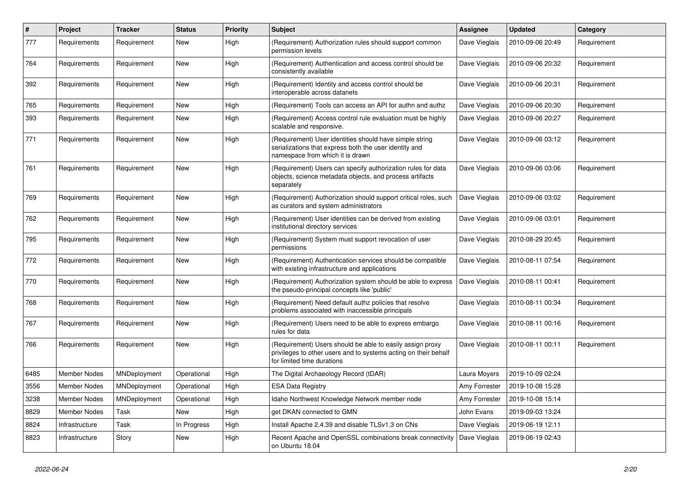| #    | Project        | <b>Tracker</b> | <b>Status</b> | <b>Priority</b> | <b>Subject</b>                                                                                                                                             | <b>Assignee</b> | Updated          | Category    |
|------|----------------|----------------|---------------|-----------------|------------------------------------------------------------------------------------------------------------------------------------------------------------|-----------------|------------------|-------------|
| 777  | Requirements   | Requirement    | New           | High            | (Requirement) Authorization rules should support common<br>permission levels                                                                               | Dave Vieglais   | 2010-09-06 20:49 | Requirement |
| 764  | Requirements   | Requirement    | New           | High            | (Requirement) Authentication and access control should be<br>consistently available                                                                        | Dave Vieglais   | 2010-09-06 20:32 | Requirement |
| 392  | Requirements   | Requirement    | New           | High            | (Requirement) Identity and access control should be<br>interoperable across datanets                                                                       | Dave Vieglais   | 2010-09-06 20:31 | Requirement |
| 765  | Requirements   | Requirement    | New           | High            | (Requirement) Tools can access an API for authn and authz                                                                                                  | Dave Vieglais   | 2010-09-06 20:30 | Requirement |
| 393  | Requirements   | Requirement    | New           | High            | (Requirement) Access control rule evaluation must be highly<br>scalable and responsive.                                                                    | Dave Vieglais   | 2010-09-06 20:27 | Requirement |
| 771  | Requirements   | Requirement    | New           | High            | (Requirement) User identities should have simple string<br>serializations that express both the user identity and<br>namespace from which it is drawn      | Dave Vieglais   | 2010-09-06 03:12 | Requirement |
| 761  | Requirements   | Requirement    | New           | High            | (Requirement) Users can specify authorization rules for data<br>objects, science metadata objects, and process artifacts<br>separately                     | Dave Vieglais   | 2010-09-06 03:06 | Requirement |
| 769  | Requirements   | Requirement    | New           | High            | (Requirement) Authorization should support critical roles, such<br>as curators and system administrators                                                   | Dave Vieglais   | 2010-09-06 03:02 | Requirement |
| 762  | Requirements   | Requirement    | New           | High            | (Requirement) User identities can be derived from existing<br>institutional directory services                                                             | Dave Vieglais   | 2010-09-06 03:01 | Requirement |
| 795  | Requirements   | Requirement    | New           | High            | (Requirement) System must support revocation of user<br>permissions                                                                                        | Dave Vieglais   | 2010-08-29 20:45 | Requirement |
| 772  | Requirements   | Requirement    | New           | High            | (Requirement) Authentication services should be compatible<br>with existing infrastructure and applications                                                | Dave Vieglais   | 2010-08-11 07:54 | Requirement |
| 770  | Requirements   | Requirement    | New           | High            | (Requirement) Authorization system should be able to express<br>the pseudo-principal concepts like 'public'                                                | Dave Vieglais   | 2010-08-11 00:41 | Requirement |
| 768  | Requirements   | Requirement    | New           | High            | (Requirement) Need default authz policies that resolve<br>problems associated with inaccessible principals                                                 | Dave Vieglais   | 2010-08-11 00:34 | Requirement |
| 767  | Requirements   | Requirement    | New           | High            | (Requirement) Users need to be able to express embargo<br>rules for data                                                                                   | Dave Vieglais   | 2010-08-11 00:16 | Requirement |
| 766  | Requirements   | Requirement    | New           | High            | (Requirement) Users should be able to easily assign proxy<br>privileges to other users and to systems acting on their behalf<br>for limited time durations | Dave Vieglais   | 2010-08-11 00:11 | Requirement |
| 6485 | Member Nodes   | MNDeployment   | Operational   | High            | The Digital Archaeology Record (tDAR)                                                                                                                      | Laura Moyers    | 2019-10-09 02:24 |             |
| 3556 | Member Nodes   | MNDeployment   | Operational   | High            | <b>ESA Data Registry</b>                                                                                                                                   | Amy Forrester   | 2019-10-08 15:28 |             |
| 3238 | Member Nodes   | MNDeployment   | Operational   | High            | Idaho Northwest Knowledge Network member node                                                                                                              | Amy Forrester   | 2019-10-08 15:14 |             |
| 8829 | Member Nodes   | Task           | New           | High            | get DKAN connected to GMN                                                                                                                                  | John Evans      | 2019-09-03 13:24 |             |
| 8824 | Infrastructure | Task           | In Progress   | High            | Install Apache 2.4.39 and disable TLSv1.3 on CNs                                                                                                           | Dave Vieglais   | 2019-06-19 12:11 |             |
| 8823 | Infrastructure | Story          | New           | High            | Recent Apache and OpenSSL combinations break connectivity<br>on Ubuntu 18.04                                                                               | Dave Vieglais   | 2019-06-19 02:43 |             |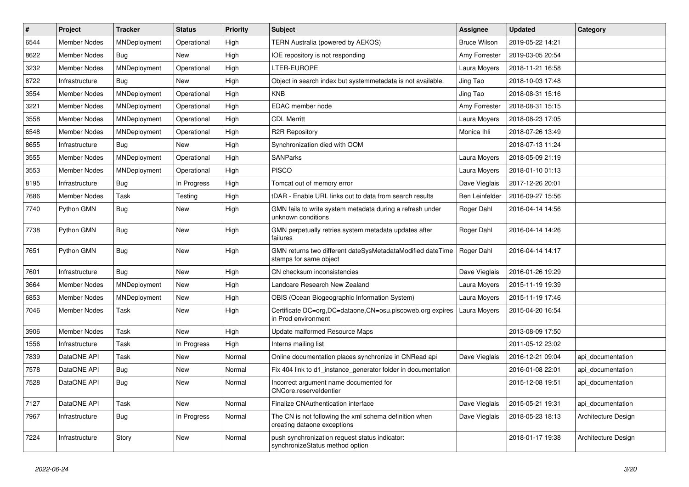| #    | Project             | <b>Tracker</b> | <b>Status</b> | <b>Priority</b> | <b>Subject</b>                                                                        | <b>Assignee</b>     | <b>Updated</b>   | Category            |
|------|---------------------|----------------|---------------|-----------------|---------------------------------------------------------------------------------------|---------------------|------------------|---------------------|
| 6544 | <b>Member Nodes</b> | MNDeployment   | Operational   | High            | TERN Australia (powered by AEKOS)                                                     | <b>Bruce Wilson</b> | 2019-05-22 14:21 |                     |
| 8622 | <b>Member Nodes</b> | Bug            | New           | High            | IOE repository is not responding                                                      | Amy Forrester       | 2019-03-05 20:54 |                     |
| 3232 | <b>Member Nodes</b> | MNDeployment   | Operational   | High            | LTER-EUROPE                                                                           | Laura Moyers        | 2018-11-21 16:58 |                     |
| 8722 | Infrastructure      | <b>Bug</b>     | New           | High            | Object in search index but systemmetadata is not available.                           | Jing Tao            | 2018-10-03 17:48 |                     |
| 3554 | <b>Member Nodes</b> | MNDeployment   | Operational   | High            | <b>KNB</b>                                                                            | Jing Tao            | 2018-08-31 15:16 |                     |
| 3221 | Member Nodes        | MNDeployment   | Operational   | High            | EDAC member node                                                                      | Amy Forrester       | 2018-08-31 15:15 |                     |
| 3558 | <b>Member Nodes</b> | MNDeployment   | Operational   | High            | <b>CDL Merritt</b>                                                                    | Laura Moyers        | 2018-08-23 17:05 |                     |
| 6548 | Member Nodes        | MNDeployment   | Operational   | High            | R2R Repository                                                                        | Monica Ihli         | 2018-07-26 13:49 |                     |
| 8655 | Infrastructure      | <b>Bug</b>     | New           | High            | Synchronization died with OOM                                                         |                     | 2018-07-13 11:24 |                     |
| 3555 | <b>Member Nodes</b> | MNDeployment   | Operational   | High            | <b>SANParks</b>                                                                       | Laura Moyers        | 2018-05-09 21:19 |                     |
| 3553 | <b>Member Nodes</b> | MNDeployment   | Operational   | High            | <b>PISCO</b>                                                                          | Laura Moyers        | 2018-01-10 01:13 |                     |
| 8195 | Infrastructure      | Bug            | In Progress   | High            | Tomcat out of memory error                                                            | Dave Vieglais       | 2017-12-26 20:01 |                     |
| 7686 | Member Nodes        | Task           | Testing       | High            | tDAR - Enable URL links out to data from search results                               | Ben Leinfelder      | 2016-09-27 15:56 |                     |
| 7740 | Python GMN          | <b>Bug</b>     | New           | High            | GMN fails to write system metadata during a refresh under<br>unknown conditions       | Roger Dahl          | 2016-04-14 14:56 |                     |
| 7738 | Python GMN          | Bug            | New           | High            | GMN perpetually retries system metadata updates after<br>failures                     | Roger Dahl          | 2016-04-14 14:26 |                     |
| 7651 | Python GMN          | Bug            | New           | High            | GMN returns two different dateSysMetadataModified dateTime<br>stamps for same object  | Roger Dahl          | 2016-04-14 14:17 |                     |
| 7601 | Infrastructure      | Bug            | New           | High            | CN checksum inconsistencies                                                           | Dave Vieglais       | 2016-01-26 19:29 |                     |
| 3664 | <b>Member Nodes</b> | MNDeployment   | New           | High            | Landcare Research New Zealand                                                         | Laura Moyers        | 2015-11-19 19:39 |                     |
| 6853 | Member Nodes        | MNDeployment   | New           | High            | OBIS (Ocean Biogeographic Information System)                                         | Laura Moyers        | 2015-11-19 17:46 |                     |
| 7046 | Member Nodes        | Task           | New           | High            | Certificate DC=org, DC=dataone, CN=osu.piscoweb.org expires<br>in Prod environment    | Laura Moyers        | 2015-04-20 16:54 |                     |
| 3906 | <b>Member Nodes</b> | Task           | New           | High            | Update malformed Resource Maps                                                        |                     | 2013-08-09 17:50 |                     |
| 1556 | Infrastructure      | Task           | In Progress   | High            | Interns mailing list                                                                  |                     | 2011-05-12 23:02 |                     |
| 7839 | DataONE API         | Task           | New           | Normal          | Online documentation places synchronize in CNRead api                                 | Dave Vieglais       | 2016-12-21 09:04 | api documentation   |
| 7578 | DataONE API         | Bug            | New           | Normal          | Fix 404 link to d1_instance_generator folder in documentation                         |                     | 2016-01-08 22:01 | api_documentation   |
| 7528 | DataONE API         | Bug            | New           | Normal          | Incorrect argument name documented for<br>CNCore.reserveldentier                      |                     | 2015-12-08 19:51 | api documentation   |
| 7127 | DataONE API         | Task           | <b>New</b>    | Normal          | Finalize CNAuthentication interface                                                   | Dave Vieglais       | 2015-05-21 19:31 | api_documentation   |
| 7967 | Infrastructure      | Bug            | In Progress   | Normal          | The CN is not following the xml schema definition when<br>creating dataone exceptions | Dave Vieglais       | 2018-05-23 18:13 | Architecture Design |
| 7224 | Infrastructure      | Story          | New           | Normal          | push synchronization request status indicator:<br>synchronizeStatus method option     |                     | 2018-01-17 19:38 | Architecture Design |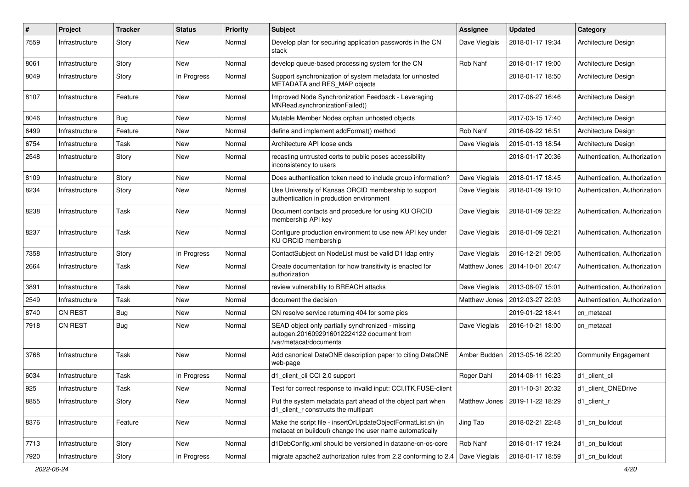| #    | Project        | <b>Tracker</b> | <b>Status</b> | <b>Priority</b> | <b>Subject</b>                                                                                                           | <b>Assignee</b> | <b>Updated</b>   | Category                      |
|------|----------------|----------------|---------------|-----------------|--------------------------------------------------------------------------------------------------------------------------|-----------------|------------------|-------------------------------|
| 7559 | Infrastructure | Story          | New           | Normal          | Develop plan for securing application passwords in the CN<br>stack                                                       | Dave Vieglais   | 2018-01-17 19:34 | Architecture Design           |
| 8061 | Infrastructure | Story          | New           | Normal          | develop queue-based processing system for the CN                                                                         | Rob Nahf        | 2018-01-17 19:00 | Architecture Design           |
| 8049 | Infrastructure | Story          | In Progress   | Normal          | Support synchronization of system metadata for unhosted<br>METADATA and RES_MAP objects                                  |                 | 2018-01-17 18:50 | Architecture Design           |
| 8107 | Infrastructure | Feature        | New           | Normal          | Improved Node Synchronization Feedback - Leveraging<br>MNRead.synchronizationFailed()                                    |                 | 2017-06-27 16:46 | Architecture Design           |
| 8046 | Infrastructure | Bug            | New           | Normal          | Mutable Member Nodes orphan unhosted objects                                                                             |                 | 2017-03-15 17:40 | Architecture Design           |
| 6499 | Infrastructure | Feature        | New           | Normal          | define and implement addFormat() method                                                                                  | Rob Nahf        | 2016-06-22 16:51 | Architecture Design           |
| 6754 | Infrastructure | Task           | New           | Normal          | Architecture API loose ends                                                                                              | Dave Vieglais   | 2015-01-13 18:54 | Architecture Design           |
| 2548 | Infrastructure | Story          | New           | Normal          | recasting untrusted certs to public poses accessibility<br>inconsistency to users                                        |                 | 2018-01-17 20:36 | Authentication, Authorization |
| 8109 | Infrastructure | Story          | New           | Normal          | Does authentication token need to include group information?                                                             | Dave Vieglais   | 2018-01-17 18:45 | Authentication, Authorization |
| 8234 | Infrastructure | Story          | New           | Normal          | Use University of Kansas ORCID membership to support<br>authentication in production environment                         | Dave Vieglais   | 2018-01-09 19:10 | Authentication, Authorization |
| 8238 | Infrastructure | Task           | New           | Normal          | Document contacts and procedure for using KU ORCID<br>membership API key                                                 | Dave Vieglais   | 2018-01-09 02:22 | Authentication, Authorization |
| 8237 | Infrastructure | Task           | New           | Normal          | Configure production environment to use new API key under<br>KU ORCID membership                                         | Dave Vieglais   | 2018-01-09 02:21 | Authentication, Authorization |
| 7358 | Infrastructure | Story          | In Progress   | Normal          | ContactSubject on NodeList must be valid D1 Idap entry                                                                   | Dave Vieglais   | 2016-12-21 09:05 | Authentication, Authorization |
| 2664 | Infrastructure | Task           | New           | Normal          | Create documentation for how transitivity is enacted for<br>authorization                                                | Matthew Jones   | 2014-10-01 20:47 | Authentication, Authorization |
| 3891 | Infrastructure | Task           | New           | Normal          | review vulnerability to BREACH attacks                                                                                   | Dave Vieglais   | 2013-08-07 15:01 | Authentication, Authorization |
| 2549 | Infrastructure | Task           | New           | Normal          | document the decision                                                                                                    | Matthew Jones   | 2012-03-27 22:03 | Authentication, Authorization |
| 8740 | <b>CN REST</b> | Bug            | New           | Normal          | CN resolve service returning 404 for some pids                                                                           |                 | 2019-01-22 18:41 | cn metacat                    |
| 7918 | <b>CN REST</b> | Bug            | New           | Normal          | SEAD object only partially synchronized - missing<br>autogen.2016092916012224122 document from<br>/var/metacat/documents | Dave Vieglais   | 2016-10-21 18:00 | cn metacat                    |
| 3768 | Infrastructure | Task           | New           | Normal          | Add canonical DataONE description paper to citing DataONE<br>web-page                                                    | Amber Budden    | 2013-05-16 22:20 | <b>Community Engagement</b>   |
| 6034 | Infrastructure | Task           | In Progress   | Normal          | d1 client cli CCI 2.0 support                                                                                            | Roger Dahl      | 2014-08-11 16:23 | d1 client cli                 |
| 925  | Infrastructure | Task           | New           | Normal          | Test for correct response to invalid input: CCI.ITK.FUSE-client                                                          |                 | 2011-10-31 20:32 | d1_client_ONEDrive            |
| 8855 | Infrastructure | Story          | New           | Normal          | Put the system metadata part ahead of the object part when<br>d1_client_r constructs the multipart                       | Matthew Jones   | 2019-11-22 18:29 | d1 client r                   |
| 8376 | Infrastructure | Feature        | New           | Normal          | Make the script file - insertOrUpdateObjectFormatList.sh (in<br>metacat cn buildout) change the user name automatically  | Jing Tao        | 2018-02-21 22:48 | d1_cn_buildout                |
| 7713 | Infrastructure | Story          | New           | Normal          | d1DebConfig.xml should be versioned in dataone-cn-os-core                                                                | Rob Nahf        | 2018-01-17 19:24 | d1_cn_buildout                |
| 7920 | Infrastructure | Story          | In Progress   | Normal          | migrate apache2 authorization rules from 2.2 conforming to 2.4                                                           | Dave Vieglais   | 2018-01-17 18:59 | d1 cn buildout                |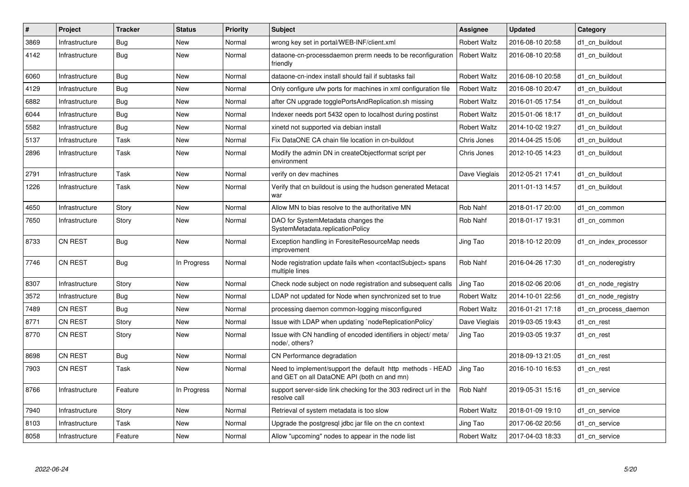| $\#$ | Project        | <b>Tracker</b> | <b>Status</b> | <b>Priority</b> | <b>Subject</b>                                                                                           | Assignee            | <b>Updated</b>   | Category              |
|------|----------------|----------------|---------------|-----------------|----------------------------------------------------------------------------------------------------------|---------------------|------------------|-----------------------|
| 3869 | Infrastructure | <b>Bug</b>     | <b>New</b>    | Normal          | wrong key set in portal/WEB-INF/client.xml                                                               | <b>Robert Waltz</b> | 2016-08-10 20:58 | d1 cn buildout        |
| 4142 | Infrastructure | Bug            | New           | Normal          | dataone-cn-processdaemon prerm needs to be reconfiguration<br>friendly                                   | <b>Robert Waltz</b> | 2016-08-10 20:58 | d1 cn buildout        |
| 6060 | Infrastructure | Bug            | <b>New</b>    | Normal          | dataone-cn-index install should fail if subtasks fail                                                    | <b>Robert Waltz</b> | 2016-08-10 20:58 | d1_cn_buildout        |
| 4129 | Infrastructure | Bug            | <b>New</b>    | Normal          | Only configure ufw ports for machines in xml configuration file                                          | <b>Robert Waltz</b> | 2016-08-10 20:47 | d1 cn buildout        |
| 6882 | Infrastructure | <b>Bug</b>     | New           | Normal          | after CN upgrade togglePortsAndReplication.sh missing                                                    | <b>Robert Waltz</b> | 2016-01-05 17:54 | d1_cn_buildout        |
| 6044 | Infrastructure | Bug            | New           | Normal          | Indexer needs port 5432 open to localhost during postinst                                                | <b>Robert Waltz</b> | 2015-01-06 18:17 | d1 cn buildout        |
| 5582 | Infrastructure | Bug            | New           | Normal          | xinetd not supported via debian install                                                                  | <b>Robert Waltz</b> | 2014-10-02 19:27 | d1 cn buildout        |
| 5137 | Infrastructure | Task           | <b>New</b>    | Normal          | Fix DataONE CA chain file location in cn-buildout                                                        | Chris Jones         | 2014-04-25 15:06 | d1 cn buildout        |
| 2896 | Infrastructure | Task           | New           | Normal          | Modify the admin DN in createObjectformat script per<br>environment                                      | Chris Jones         | 2012-10-05 14:23 | d1 cn buildout        |
| 2791 | Infrastructure | Task           | <b>New</b>    | Normal          | verify on dev machines                                                                                   | Dave Vieglais       | 2012-05-21 17:41 | d1 cn buildout        |
| 1226 | Infrastructure | Task           | New           | Normal          | Verify that cn buildout is using the hudson generated Metacat<br>war                                     |                     | 2011-01-13 14:57 | d1 cn buildout        |
| 4650 | Infrastructure | Story          | <b>New</b>    | Normal          | Allow MN to bias resolve to the authoritative MN                                                         | Rob Nahf            | 2018-01-17 20:00 | d1 cn common          |
| 7650 | Infrastructure | Story          | New           | Normal          | DAO for SystemMetadata changes the<br>SystemMetadata.replicationPolicy                                   | Rob Nahf            | 2018-01-17 19:31 | d1 cn common          |
| 8733 | CN REST        | Bug            | <b>New</b>    | Normal          | Exception handling in ForesiteResourceMap needs<br>improvement                                           | Jing Tao            | 2018-10-12 20:09 | d1_cn_index_processor |
| 7746 | <b>CN REST</b> | <b>Bug</b>     | In Progress   | Normal          | Node registration update fails when <contactsubject> spans<br/>multiple lines</contactsubject>           | Rob Nahf            | 2016-04-26 17:30 | d1 cn noderegistry    |
| 8307 | Infrastructure | Story          | <b>New</b>    | Normal          | Check node subject on node registration and subsequent calls                                             | Jing Tao            | 2018-02-06 20:06 | d1 cn node registry   |
| 3572 | Infrastructure | Bug            | <b>New</b>    | Normal          | LDAP not updated for Node when synchronized set to true                                                  | <b>Robert Waltz</b> | 2014-10-01 22:56 | d1 cn node registry   |
| 7489 | <b>CN REST</b> | <b>Bug</b>     | New           | Normal          | processing daemon common-logging misconfigured                                                           | <b>Robert Waltz</b> | 2016-01-21 17:18 | d1 cn process daemon  |
| 8771 | CN REST        | Story          | New           | Normal          | Issue with LDAP when updating `nodeReplicationPolicy`                                                    | Dave Vieglais       | 2019-03-05 19:43 | d1_cn_rest            |
| 8770 | <b>CN REST</b> | Story          | <b>New</b>    | Normal          | Issue with CN handling of encoded identifiers in object/ meta/<br>node/, others?                         | Jing Tao            | 2019-03-05 19:37 | d1_cn_rest            |
| 8698 | <b>CN REST</b> | <b>Bug</b>     | <b>New</b>    | Normal          | CN Performance degradation                                                                               |                     | 2018-09-13 21:05 | d1 cn rest            |
| 7903 | <b>CN REST</b> | Task           | New           | Normal          | Need to implement/support the default http methods - HEAD<br>and GET on all DataONE API (both cn and mn) | Jing Tao            | 2016-10-10 16:53 | d1 cn rest            |
| 8766 | Infrastructure | Feature        | In Progress   | Normal          | support server-side link checking for the 303 redirect url in the<br>resolve call                        | Rob Nahf            | 2019-05-31 15:16 | d1 cn service         |
| 7940 | Infrastructure | Story          | <b>New</b>    | Normal          | Retrieval of system metadata is too slow                                                                 | <b>Robert Waltz</b> | 2018-01-09 19:10 | d1 cn service         |
| 8103 | Infrastructure | Task           | New           | Normal          | Upgrade the postgresgl jdbc jar file on the cn context                                                   | Jing Tao            | 2017-06-02 20:56 | d1 cn service         |
| 8058 | Infrastructure | Feature        | <b>New</b>    | Normal          | Allow "upcoming" nodes to appear in the node list                                                        | <b>Robert Waltz</b> | 2017-04-03 18:33 | d1_cn_service         |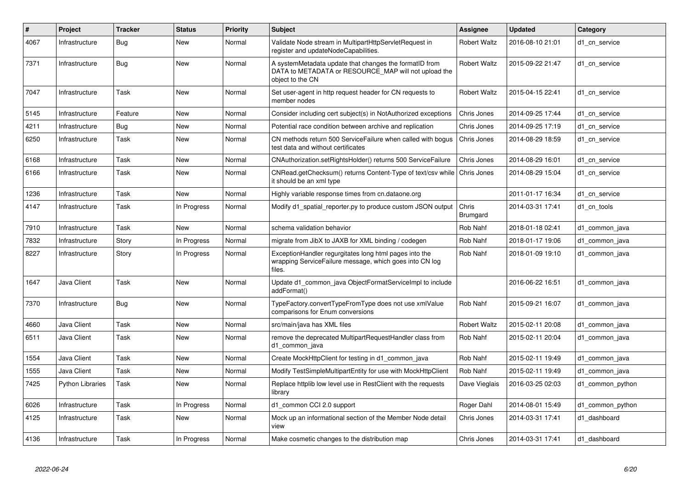| #    | Project                 | <b>Tracker</b> | <b>Status</b> | <b>Priority</b> | <b>Subject</b>                                                                                                                     | Assignee                 | Updated          | Category         |
|------|-------------------------|----------------|---------------|-----------------|------------------------------------------------------------------------------------------------------------------------------------|--------------------------|------------------|------------------|
| 4067 | Infrastructure          | <b>Bug</b>     | <b>New</b>    | Normal          | Validate Node stream in MultipartHttpServletRequest in<br>register and updateNodeCapabilities.                                     | <b>Robert Waltz</b>      | 2016-08-10 21:01 | d1 cn service    |
| 7371 | Infrastructure          | Bug            | New           | Normal          | A systemMetadata update that changes the formatID from<br>DATA to METADATA or RESOURCE_MAP will not upload the<br>object to the CN | <b>Robert Waltz</b>      | 2015-09-22 21:47 | d1_cn_service    |
| 7047 | Infrastructure          | Task           | <b>New</b>    | Normal          | Set user-agent in http request header for CN requests to<br>member nodes                                                           | <b>Robert Waltz</b>      | 2015-04-15 22:41 | d1 cn service    |
| 5145 | Infrastructure          | Feature        | <b>New</b>    | Normal          | Consider including cert subject(s) in NotAuthorized exceptions                                                                     | Chris Jones              | 2014-09-25 17:44 | d1_cn_service    |
| 4211 | Infrastructure          | <b>Bug</b>     | New           | Normal          | Potential race condition between archive and replication                                                                           | Chris Jones              | 2014-09-25 17:19 | d1 cn service    |
| 6250 | Infrastructure          | Task           | New           | Normal          | CN methods return 500 ServiceFailure when called with bogus<br>test data and without certificates                                  | Chris Jones              | 2014-08-29 18:59 | d1 cn service    |
| 6168 | Infrastructure          | Task           | New           | Normal          | CNAuthorization.setRightsHolder() returns 500 ServiceFailure                                                                       | Chris Jones              | 2014-08-29 16:01 | d1 cn service    |
| 6166 | Infrastructure          | Task           | <b>New</b>    | Normal          | CNRead.getChecksum() returns Content-Type of text/csv while<br>it should be an xml type                                            | Chris Jones              | 2014-08-29 15:04 | d1 cn service    |
| 1236 | Infrastructure          | Task           | <b>New</b>    | Normal          | Highly variable response times from cn.dataone.org                                                                                 |                          | 2011-01-17 16:34 | d1 cn service    |
| 4147 | Infrastructure          | Task           | In Progress   | Normal          | Modify d1_spatial_reporter.py to produce custom JSON output                                                                        | Chris<br><b>Brumgard</b> | 2014-03-31 17:41 | d1 cn tools      |
| 7910 | Infrastructure          | Task           | New           | Normal          | schema validation behavior                                                                                                         | Rob Nahf                 | 2018-01-18 02:41 | d1 common java   |
| 7832 | Infrastructure          | Story          | In Progress   | Normal          | migrate from JibX to JAXB for XML binding / codegen                                                                                | Rob Nahf                 | 2018-01-17 19:06 | d1 common java   |
| 8227 | Infrastructure          | Story          | In Progress   | Normal          | ExceptionHandler regurgitates long html pages into the<br>wrapping ServiceFailure message, which goes into CN log<br>files.        | Rob Nahf                 | 2018-01-09 19:10 | d1 common java   |
| 1647 | Java Client             | Task           | <b>New</b>    | Normal          | Update d1 common java ObjectFormatServiceImpl to include<br>addFormat()                                                            |                          | 2016-06-22 16:51 | d1 common java   |
| 7370 | Infrastructure          | Bug            | <b>New</b>    | Normal          | TypeFactory.convertTypeFromType does not use xmlValue<br>comparisons for Enum conversions                                          | Rob Nahf                 | 2015-09-21 16:07 | d1 common java   |
| 4660 | Java Client             | Task           | New           | Normal          | src/main/java has XML files                                                                                                        | <b>Robert Waltz</b>      | 2015-02-11 20:08 | d1 common java   |
| 6511 | Java Client             | Task           | <b>New</b>    | Normal          | remove the deprecated MultipartRequestHandler class from<br>d1 common java                                                         | Rob Nahf                 | 2015-02-11 20:04 | d1 common java   |
| 1554 | Java Client             | Task           | <b>New</b>    | Normal          | Create MockHttpClient for testing in d1 common java                                                                                | Rob Nahf                 | 2015-02-11 19:49 | d1_common_java   |
| 1555 | Java Client             | Task           | <b>New</b>    | Normal          | Modify TestSimpleMultipartEntity for use with MockHttpClient                                                                       | Rob Nahf                 | 2015-02-11 19:49 | d1 common java   |
| 7425 | <b>Python Libraries</b> | Task           | <b>New</b>    | Normal          | Replace httplib low level use in RestClient with the requests<br>library                                                           | Dave Vieglais            | 2016-03-25 02:03 | d1_common_python |
| 6026 | Infrastructure          | Task           | In Progress   | Normal          | d1 common CCI 2.0 support                                                                                                          | Roger Dahl               | 2014-08-01 15:49 | d1_common_python |
| 4125 | Infrastructure          | Task           | New           | Normal          | Mock up an informational section of the Member Node detail<br>view                                                                 | Chris Jones              | 2014-03-31 17:41 | d1 dashboard     |
| 4136 | Infrastructure          | Task           | In Progress   | Normal          | Make cosmetic changes to the distribution map                                                                                      | Chris Jones              | 2014-03-31 17:41 | d1 dashboard     |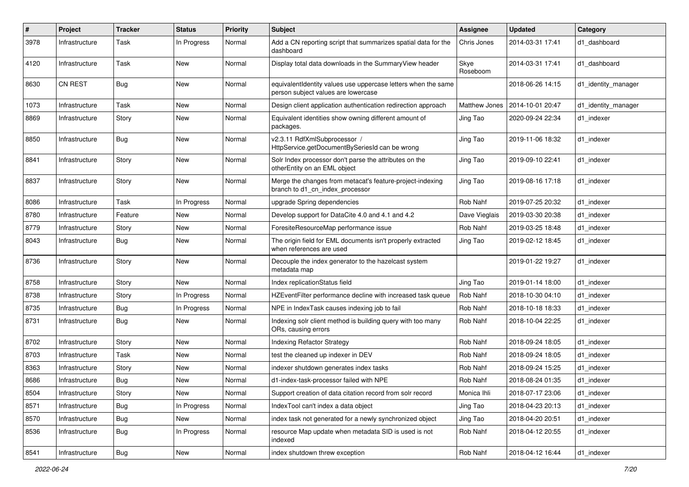| $\#$ | Project        | <b>Tracker</b> | <b>Status</b> | <b>Priority</b> | Subject                                                                                              | Assignee         | <b>Updated</b>   | Category            |
|------|----------------|----------------|---------------|-----------------|------------------------------------------------------------------------------------------------------|------------------|------------------|---------------------|
| 3978 | Infrastructure | Task           | In Progress   | Normal          | Add a CN reporting script that summarizes spatial data for the<br>dashboard                          | Chris Jones      | 2014-03-31 17:41 | d1 dashboard        |
| 4120 | Infrastructure | Task           | New           | Normal          | Display total data downloads in the SummaryView header                                               | Skye<br>Roseboom | 2014-03-31 17:41 | d1_dashboard        |
| 8630 | <b>CN REST</b> | Bug            | New           | Normal          | equivalentIdentity values use uppercase letters when the same<br>person subject values are lowercase |                  | 2018-06-26 14:15 | d1_identity_manager |
| 1073 | Infrastructure | Task           | <b>New</b>    | Normal          | Design client application authentication redirection approach                                        | Matthew Jones    | 2014-10-01 20:47 | d1_identity_manager |
| 8869 | Infrastructure | Story          | New           | Normal          | Equivalent identities show owning different amount of<br>packages.                                   | Jing Tao         | 2020-09-24 22:34 | d1 indexer          |
| 8850 | Infrastructure | Bug            | <b>New</b>    | Normal          | v2.3.11 RdfXmlSubprocessor /<br>HttpService.getDocumentBySeriesId can be wrong                       | Jing Tao         | 2019-11-06 18:32 | d1_indexer          |
| 8841 | Infrastructure | Story          | <b>New</b>    | Normal          | Solr Index processor don't parse the attributes on the<br>otherEntity on an EML object               | Jing Tao         | 2019-09-10 22:41 | d1_indexer          |
| 8837 | Infrastructure | Story          | <b>New</b>    | Normal          | Merge the changes from metacat's feature-project-indexing<br>branch to d1_cn_index_processor         | Jing Tao         | 2019-08-16 17:18 | d1_indexer          |
| 8086 | Infrastructure | Task           | In Progress   | Normal          | upgrade Spring dependencies                                                                          | Rob Nahf         | 2019-07-25 20:32 | d1_indexer          |
| 8780 | Infrastructure | Feature        | New           | Normal          | Develop support for DataCite 4.0 and 4.1 and 4.2                                                     | Dave Vieglais    | 2019-03-30 20:38 | d1 indexer          |
| 8779 | Infrastructure | Story          | New           | Normal          | ForesiteResourceMap performance issue                                                                | Rob Nahf         | 2019-03-25 18:48 | d1 indexer          |
| 8043 | Infrastructure | Bug            | New           | Normal          | The origin field for EML documents isn't properly extracted<br>when references are used              | Jing Tao         | 2019-02-12 18:45 | d1 indexer          |
| 8736 | Infrastructure | Story          | <b>New</b>    | Normal          | Decouple the index generator to the hazelcast system<br>metadata map                                 |                  | 2019-01-22 19:27 | d1_indexer          |
| 8758 | Infrastructure | Story          | <b>New</b>    | Normal          | Index replicationStatus field                                                                        | Jing Tao         | 2019-01-14 18:00 | d1_indexer          |
| 8738 | Infrastructure | Story          | In Progress   | Normal          | HZEventFilter performance decline with increased task queue                                          | Rob Nahf         | 2018-10-30 04:10 | d1_indexer          |
| 8735 | Infrastructure | Bug            | In Progress   | Normal          | NPE in IndexTask causes indexing job to fail                                                         | Rob Nahf         | 2018-10-18 18:33 | d1_indexer          |
| 8731 | Infrastructure | Bug            | New           | Normal          | Indexing solr client method is building query with too many<br>ORs, causing errors                   | Rob Nahf         | 2018-10-04 22:25 | d1 indexer          |
| 8702 | Infrastructure | Story          | <b>New</b>    | Normal          | <b>Indexing Refactor Strategy</b>                                                                    | Rob Nahf         | 2018-09-24 18:05 | d1_indexer          |
| 8703 | Infrastructure | Task           | <b>New</b>    | Normal          | test the cleaned up indexer in DEV                                                                   | Rob Nahf         | 2018-09-24 18:05 | d1_indexer          |
| 8363 | Infrastructure | Story          | New           | Normal          | indexer shutdown generates index tasks                                                               | Rob Nahf         | 2018-09-24 15:25 | d1 indexer          |
| 8686 | Infrastructure | Bug            | New           | Normal          | d1-index-task-processor failed with NPE                                                              | Rob Nahf         | 2018-08-24 01:35 | d1 indexer          |
| 8504 | Infrastructure | Story          | New           | Normal          | Support creation of data citation record from solr record                                            | Monica Ihli      | 2018-07-17 23:06 | d1 indexer          |
| 8571 | Infrastructure | <b>Bug</b>     | In Progress   | Normal          | IndexTool can't index a data object                                                                  | Jing Tao         | 2018-04-23 20:13 | d1_indexer          |
| 8570 | Infrastructure | Bug            | New           | Normal          | index task not generated for a newly synchronized object                                             | Jing Tao         | 2018-04-20 20:51 | d1_indexer          |
| 8536 | Infrastructure | Bug            | In Progress   | Normal          | resource Map update when metadata SID is used is not<br>indexed                                      | Rob Nahf         | 2018-04-12 20:55 | d1 indexer          |
| 8541 | Infrastructure | i Bug          | New           | Normal          | index shutdown threw exception                                                                       | Rob Nahf         | 2018-04-12 16:44 | d1_indexer          |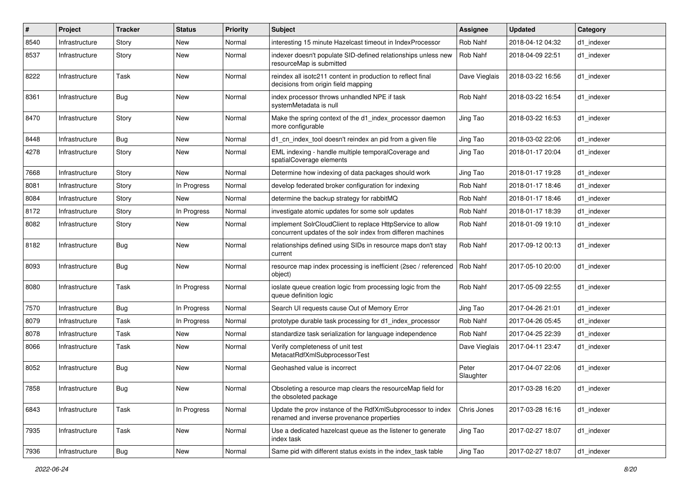| #    | Project        | <b>Tracker</b> | <b>Status</b> | <b>Priority</b> | Subject                                                                                                                  | <b>Assignee</b>    | <b>Updated</b>   | Category   |
|------|----------------|----------------|---------------|-----------------|--------------------------------------------------------------------------------------------------------------------------|--------------------|------------------|------------|
| 8540 | Infrastructure | Story          | New           | Normal          | interesting 15 minute Hazelcast timeout in IndexProcessor                                                                | Rob Nahf           | 2018-04-12 04:32 | d1 indexer |
| 8537 | Infrastructure | Story          | New           | Normal          | indexer doesn't populate SID-defined relationships unless new<br>resourceMap is submitted                                | Rob Nahf           | 2018-04-09 22:51 | d1_indexer |
| 8222 | Infrastructure | Task           | New           | Normal          | reindex all isotc211 content in production to reflect final<br>decisions from origin field mapping                       | Dave Vieglais      | 2018-03-22 16:56 | d1 indexer |
| 8361 | Infrastructure | Bug            | New           | Normal          | index processor throws unhandled NPE if task<br>systemMetadata is null                                                   | Rob Nahf           | 2018-03-22 16:54 | d1_indexer |
| 8470 | Infrastructure | Story          | New           | Normal          | Make the spring context of the d1_index_processor daemon<br>more configurable                                            | Jing Tao           | 2018-03-22 16:53 | d1_indexer |
| 8448 | Infrastructure | <b>Bug</b>     | New           | Normal          | d1_cn_index_tool doesn't reindex an pid from a given file                                                                | Jing Tao           | 2018-03-02 22:06 | d1_indexer |
| 4278 | Infrastructure | Story          | New           | Normal          | EML indexing - handle multiple temporalCoverage and<br>spatialCoverage elements                                          | Jing Tao           | 2018-01-17 20:04 | d1 indexer |
| 7668 | Infrastructure | Story          | <b>New</b>    | Normal          | Determine how indexing of data packages should work                                                                      | Jing Tao           | 2018-01-17 19:28 | d1_indexer |
| 8081 | Infrastructure | Story          | In Progress   | Normal          | develop federated broker configuration for indexing                                                                      | Rob Nahf           | 2018-01-17 18:46 | d1 indexer |
| 8084 | Infrastructure | Story          | New           | Normal          | determine the backup strategy for rabbitMQ                                                                               | Rob Nahf           | 2018-01-17 18:46 | d1 indexer |
| 8172 | Infrastructure | Story          | In Progress   | Normal          | investigate atomic updates for some solr updates                                                                         | Rob Nahf           | 2018-01-17 18:39 | d1 indexer |
| 8082 | Infrastructure | Story          | New           | Normal          | implement SolrCloudClient to replace HttpService to allow<br>concurrent updates of the solr index from differen machines | Rob Nahf           | 2018-01-09 19:10 | d1 indexer |
| 8182 | Infrastructure | Bug            | New           | Normal          | relationships defined using SIDs in resource maps don't stay<br>current                                                  | Rob Nahf           | 2017-09-12 00:13 | d1_indexer |
| 8093 | Infrastructure | Bug            | New           | Normal          | resource map index processing is inefficient (2sec / referenced<br>object)                                               | Rob Nahf           | 2017-05-10 20:00 | d1_indexer |
| 8080 | Infrastructure | Task           | In Progress   | Normal          | ioslate queue creation logic from processing logic from the<br>queue definition logic                                    | Rob Nahf           | 2017-05-09 22:55 | d1 indexer |
| 7570 | Infrastructure | Bug            | In Progress   | Normal          | Search UI requests cause Out of Memory Error                                                                             | Jing Tao           | 2017-04-26 21:01 | d1 indexer |
| 8079 | Infrastructure | Task           | In Progress   | Normal          | prototype durable task processing for d1_index_processor                                                                 | Rob Nahf           | 2017-04-26 05:45 | d1 indexer |
| 8078 | Infrastructure | Task           | New           | Normal          | standardize task serialization for language independence                                                                 | Rob Nahf           | 2017-04-25 22:39 | d1 indexer |
| 8066 | Infrastructure | Task           | New           | Normal          | Verify completeness of unit test<br>MetacatRdfXmlSubprocessorTest                                                        | Dave Vieglais      | 2017-04-11 23:47 | d1 indexer |
| 8052 | Infrastructure | Bug            | New           | Normal          | Geohashed value is incorrect                                                                                             | Peter<br>Slaughter | 2017-04-07 22:06 | d1_indexer |
| 7858 | Infrastructure | Bug            | New           | Normal          | Obsoleting a resource map clears the resourceMap field for<br>the obsoleted package                                      |                    | 2017-03-28 16:20 | d1_indexer |
| 6843 | Infrastructure | Task           | In Progress   | Normal          | Update the prov instance of the RdfXmlSubprocessor to index<br>renamed and inverse provenance properties                 | Chris Jones        | 2017-03-28 16:16 | d1_indexer |
| 7935 | Infrastructure | Task           | New           | Normal          | Use a dedicated hazelcast queue as the listener to generate<br>index task                                                | Jing Tao           | 2017-02-27 18:07 | d1 indexer |
| 7936 | Infrastructure | <b>Bug</b>     | New           | Normal          | Same pid with different status exists in the index task table                                                            | Jing Tao           | 2017-02-27 18:07 | d1 indexer |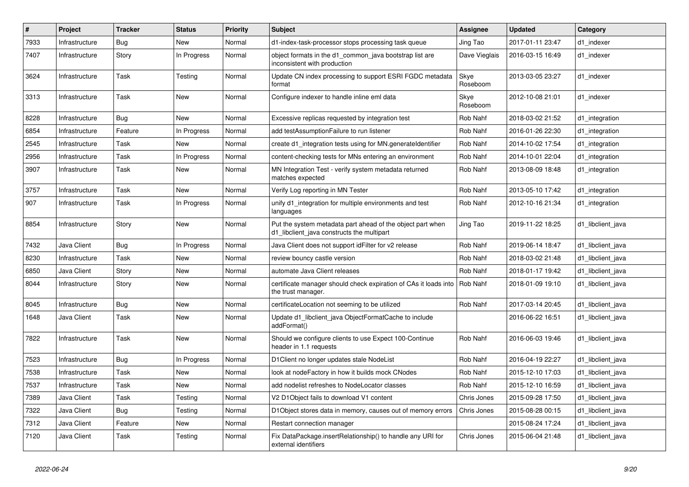| $\#$ | Project        | <b>Tracker</b> | <b>Status</b> | <b>Priority</b> | <b>Subject</b>                                                                                           | <b>Assignee</b>  | <b>Updated</b>   | Category          |
|------|----------------|----------------|---------------|-----------------|----------------------------------------------------------------------------------------------------------|------------------|------------------|-------------------|
| 7933 | Infrastructure | Bug            | <b>New</b>    | Normal          | d1-index-task-processor stops processing task queue                                                      | Jing Tao         | 2017-01-11 23:47 | d1 indexer        |
| 7407 | Infrastructure | Story          | In Progress   | Normal          | object formats in the d1 common java bootstrap list are<br>inconsistent with production                  | Dave Vieglais    | 2016-03-15 16:49 | d1 indexer        |
| 3624 | Infrastructure | Task           | Testing       | Normal          | Update CN index processing to support ESRI FGDC metadata<br>format                                       | Skye<br>Roseboom | 2013-03-05 23:27 | d1_indexer        |
| 3313 | Infrastructure | Task           | <b>New</b>    | Normal          | Configure indexer to handle inline eml data                                                              | Skye<br>Roseboom | 2012-10-08 21:01 | d1 indexer        |
| 8228 | Infrastructure | Bug            | <b>New</b>    | Normal          | Excessive replicas requested by integration test                                                         | Rob Nahf         | 2018-03-02 21:52 | d1_integration    |
| 6854 | Infrastructure | Feature        | In Progress   | Normal          | add testAssumptionFailure to run listener                                                                | Rob Nahf         | 2016-01-26 22:30 | d1 integration    |
| 2545 | Infrastructure | Task           | New           | Normal          | create d1 integration tests using for MN generate dentifier                                              | Rob Nahf         | 2014-10-02 17:54 | d1 integration    |
| 2956 | Infrastructure | Task           | In Progress   | Normal          | content-checking tests for MNs entering an environment                                                   | Rob Nahf         | 2014-10-01 22:04 | d1 integration    |
| 3907 | Infrastructure | Task           | New           | Normal          | MN Integration Test - verify system metadata returned<br>matches expected                                | Rob Nahf         | 2013-08-09 18:48 | d1 integration    |
| 3757 | Infrastructure | Task           | <b>New</b>    | Normal          | Verify Log reporting in MN Tester                                                                        | <b>Rob Nahf</b>  | 2013-05-10 17:42 | d1_integration    |
| 907  | Infrastructure | Task           | In Progress   | Normal          | unify d1 integration for multiple environments and test<br>languages                                     | <b>Rob Nahf</b>  | 2012-10-16 21:34 | d1 integration    |
| 8854 | Infrastructure | Story          | <b>New</b>    | Normal          | Put the system metadata part ahead of the object part when<br>d1 libclient java constructs the multipart | Jing Tao         | 2019-11-22 18:25 | d1 libclient java |
| 7432 | Java Client    | Bug            | In Progress   | Normal          | Java Client does not support idFilter for v2 release                                                     | Rob Nahf         | 2019-06-14 18:47 | d1 libclient java |
| 8230 | Infrastructure | Task           | <b>New</b>    | Normal          | review bouncy castle version                                                                             | Rob Nahf         | 2018-03-02 21:48 | d1 libclient java |
| 6850 | Java Client    | Story          | <b>New</b>    | Normal          | automate Java Client releases                                                                            | Rob Nahf         | 2018-01-17 19:42 | d1 libclient java |
| 8044 | Infrastructure | Story          | <b>New</b>    | Normal          | certificate manager should check expiration of CAs it loads into<br>the trust manager.                   | <b>Rob Nahf</b>  | 2018-01-09 19:10 | d1 libclient java |
| 8045 | Infrastructure | Bug            | <b>New</b>    | Normal          | certificateLocation not seeming to be utilized                                                           | Rob Nahf         | 2017-03-14 20:45 | d1_libclient_java |
| 1648 | Java Client    | Task           | <b>New</b>    | Normal          | Update d1 libclient java ObjectFormatCache to include<br>addFormat()                                     |                  | 2016-06-22 16:51 | d1 libclient java |
| 7822 | Infrastructure | Task           | <b>New</b>    | Normal          | Should we configure clients to use Expect 100-Continue<br>header in 1.1 requests                         | Rob Nahf         | 2016-06-03 19:46 | d1 libclient java |
| 7523 | Infrastructure | Bug            | In Progress   | Normal          | D1Client no longer updates stale NodeList                                                                | Rob Nahf         | 2016-04-19 22:27 | d1_libclient_java |
| 7538 | Infrastructure | Task           | <b>New</b>    | Normal          | look at nodeFactory in how it builds mock CNodes                                                         | Rob Nahf         | 2015-12-10 17:03 | d1_libclient_java |
| 7537 | Infrastructure | Task           | <b>New</b>    | Normal          | add nodelist refreshes to NodeLocator classes                                                            | Rob Nahf         | 2015-12-10 16:59 | d1_libclient_java |
| 7389 | Java Client    | Task           | Testing       | Normal          | V2 D1Object fails to download V1 content                                                                 | Chris Jones      | 2015-09-28 17:50 | d1_libclient_java |
| 7322 | Java Client    | Bug            | Testing       | Normal          | D1Object stores data in memory, causes out of memory errors                                              | Chris Jones      | 2015-08-28 00:15 | d1_libclient_java |
| 7312 | Java Client    | Feature        | New           | Normal          | Restart connection manager                                                                               |                  | 2015-08-24 17:24 | d1 libclient java |
| 7120 | Java Client    | Task           | Testing       | Normal          | Fix DataPackage.insertRelationship() to handle any URI for<br>external identifiers                       | Chris Jones      | 2015-06-04 21:48 | d1 libclient java |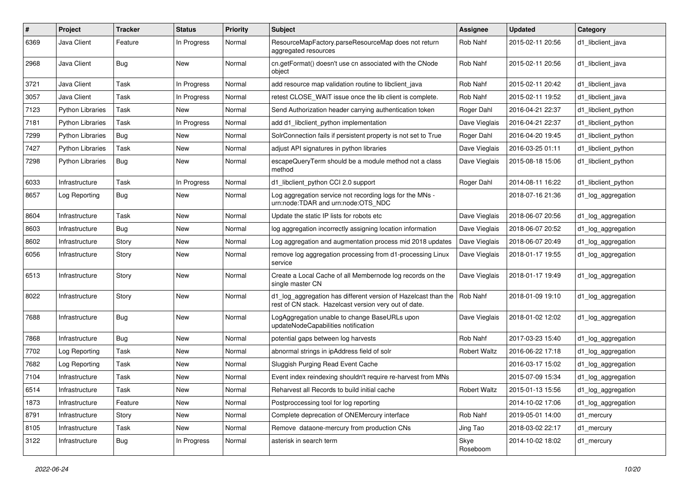| #    | Project                 | <b>Tracker</b> | <b>Status</b> | <b>Priority</b> | <b>Subject</b>                                                                                                          | <b>Assignee</b>     | <b>Updated</b>   | Category            |
|------|-------------------------|----------------|---------------|-----------------|-------------------------------------------------------------------------------------------------------------------------|---------------------|------------------|---------------------|
| 6369 | Java Client             | Feature        | In Progress   | Normal          | ResourceMapFactory.parseResourceMap does not return<br>aggregated resources                                             | Rob Nahf            | 2015-02-11 20:56 | d1 libclient java   |
| 2968 | Java Client             | Bug            | New           | Normal          | cn.getFormat() doesn't use cn associated with the CNode<br>object                                                       | Rob Nahf            | 2015-02-11 20:56 | d1 libclient java   |
| 3721 | Java Client             | Task           | In Progress   | Normal          | add resource map validation routine to libclient java                                                                   | Rob Nahf            | 2015-02-11 20:42 | d1 libclient java   |
| 3057 | Java Client             | Task           | In Progress   | Normal          | retest CLOSE WAIT issue once the lib client is complete.                                                                | Rob Nahf            | 2015-02-11 19:52 | d1 libclient java   |
| 7123 | <b>Python Libraries</b> | Task           | New           | Normal          | Send Authorization header carrying authentication token                                                                 | Roger Dahl          | 2016-04-21 22:37 | d1 libclient python |
| 7181 | Python Libraries        | Task           | In Progress   | Normal          | add d1 libclient python implementation                                                                                  | Dave Vieglais       | 2016-04-21 22:37 | d1 libclient python |
| 7299 | <b>Python Libraries</b> | Bug            | New           | Normal          | SolrConnection fails if persistent property is not set to True                                                          | Roger Dahl          | 2016-04-20 19:45 | d1_libclient_python |
| 7427 | <b>Python Libraries</b> | Task           | New           | Normal          | adjust API signatures in python libraries                                                                               | Dave Vieglais       | 2016-03-25 01:11 | d1_libclient_python |
| 7298 | Python Libraries        | Bug            | New           | Normal          | escapeQueryTerm should be a module method not a class<br>method                                                         | Dave Vieglais       | 2015-08-18 15:06 | d1_libclient_python |
| 6033 | Infrastructure          | Task           | In Progress   | Normal          | d1_libclient_python CCI 2.0 support                                                                                     | Roger Dahl          | 2014-08-11 16:22 | d1 libclient python |
| 8657 | Log Reporting           | Bug            | New           | Normal          | Log aggregation service not recording logs for the MNs -<br>urn:node:TDAR and urn:node:OTS_NDC                          |                     | 2018-07-16 21:36 | d1_log_aggregation  |
| 8604 | Infrastructure          | Task           | New           | Normal          | Update the static IP lists for robots etc                                                                               | Dave Vieglais       | 2018-06-07 20:56 | d1_log_aggregation  |
| 8603 | Infrastructure          | Bug            | New           | Normal          | log aggregation incorrectly assigning location information                                                              | Dave Vieglais       | 2018-06-07 20:52 | d1_log_aggregation  |
| 8602 | Infrastructure          | Story          | New           | Normal          | Log aggregation and augmentation process mid 2018 updates                                                               | Dave Vieglais       | 2018-06-07 20:49 | d1_log_aggregation  |
| 6056 | Infrastructure          | Story          | New           | Normal          | remove log aggregation processing from d1-processing Linux<br>service                                                   | Dave Vieglais       | 2018-01-17 19:55 | d1_log_aggregation  |
| 6513 | Infrastructure          | Story          | New           | Normal          | Create a Local Cache of all Membernode log records on the<br>single master CN                                           | Dave Vieglais       | 2018-01-17 19:49 | d1_log_aggregation  |
| 8022 | Infrastructure          | Story          | New           | Normal          | d1_log_aggregation has different version of Hazelcast than the<br>rest of CN stack. Hazelcast version very out of date. | Rob Nahf            | 2018-01-09 19:10 | d1_log_aggregation  |
| 7688 | Infrastructure          | Bug            | New           | Normal          | LogAggregation unable to change BaseURLs upon<br>updateNodeCapabilities notification                                    | Dave Vieglais       | 2018-01-02 12:02 | d1_log_aggregation  |
| 7868 | Infrastructure          | Bug            | New           | Normal          | potential gaps between log harvests                                                                                     | Rob Nahf            | 2017-03-23 15:40 | d1_log_aggregation  |
| 7702 | Log Reporting           | Task           | New           | Normal          | abnormal strings in ipAddress field of solr                                                                             | <b>Robert Waltz</b> | 2016-06-22 17:18 | d1_log_aggregation  |
| 7682 | Log Reporting           | Task           | New           | Normal          | Sluggish Purging Read Event Cache                                                                                       |                     | 2016-03-17 15:02 | d1_log_aggregation  |
| 7104 | Infrastructure          | Task           | New           | Normal          | Event index reindexing shouldn't require re-harvest from MNs                                                            |                     | 2015-07-09 15:34 | d1_log_aggregation  |
| 6514 | Infrastructure          | Task           | New           | Normal          | Reharvest all Records to build initial cache                                                                            | <b>Robert Waltz</b> | 2015-01-13 15:56 | d1_log_aggregation  |
| 1873 | Infrastructure          | Feature        | New           | Normal          | Postproccessing tool for log reporting                                                                                  |                     | 2014-10-02 17:06 | d1_log_aggregation  |
| 8791 | Infrastructure          | Story          | New           | Normal          | Complete deprecation of ONEMercury interface                                                                            | Rob Nahf            | 2019-05-01 14:00 | d1_mercury          |
| 8105 | Infrastructure          | Task           | New           | Normal          | Remove dataone-mercury from production CNs                                                                              | Jing Tao            | 2018-03-02 22:17 | d1_mercury          |
| 3122 | Infrastructure          | <b>Bug</b>     | In Progress   | Normal          | asterisk in search term                                                                                                 | Skye<br>Roseboom    | 2014-10-02 18:02 | d1_mercury          |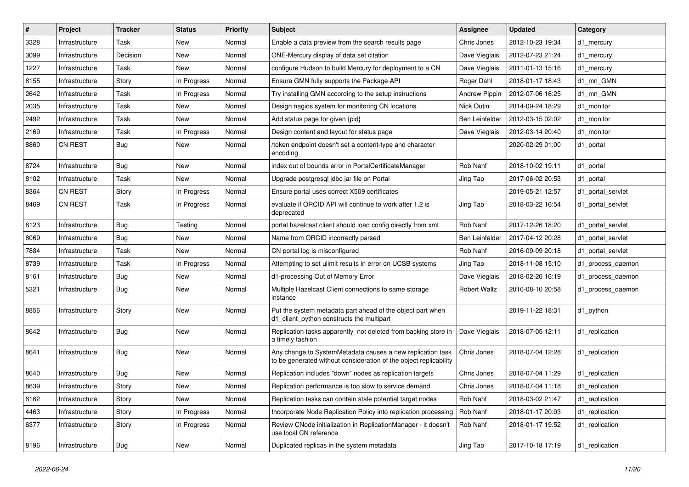| $\#$ | Project        | <b>Tracker</b> | <b>Status</b> | <b>Priority</b> | <b>Subject</b>                                                                                                                  | <b>Assignee</b>     | <b>Updated</b>   | Category          |
|------|----------------|----------------|---------------|-----------------|---------------------------------------------------------------------------------------------------------------------------------|---------------------|------------------|-------------------|
| 3328 | Infrastructure | Task           | New           | Normal          | Enable a data preview from the search results page                                                                              | Chris Jones         | 2012-10-23 19:34 | d1_mercury        |
| 3099 | Infrastructure | Decision       | New           | Normal          | ONE-Mercury display of data set citation                                                                                        | Dave Vieglais       | 2012-07-23 21:24 | d1_mercury        |
| 1227 | Infrastructure | Task           | New           | Normal          | configure Hudson to build Mercury for deployment to a CN                                                                        | Dave Vieglais       | 2011-01-13 15:16 | d1_mercury        |
| 8155 | Infrastructure | Story          | In Progress   | Normal          | Ensure GMN fully supports the Package API                                                                                       | Roger Dahl          | 2018-01-17 18:43 | d1 mn GMN         |
| 2642 | Infrastructure | Task           | In Progress   | Normal          | Try installing GMN according to the setup instructions                                                                          | Andrew Pippin       | 2012-07-06 16:25 | d1 mn GMN         |
| 2035 | Infrastructure | Task           | New           | Normal          | Design nagios system for monitoring CN locations                                                                                | Nick Outin          | 2014-09-24 18:29 | d1_monitor        |
| 2492 | Infrastructure | Task           | New           | Normal          | Add status page for given {pid}                                                                                                 | Ben Leinfelder      | 2012-03-15 02:02 | d1 monitor        |
| 2169 | Infrastructure | Task           | In Progress   | Normal          | Design content and layout for status page                                                                                       | Dave Vieglais       | 2012-03-14 20:40 | d1 monitor        |
| 8860 | <b>CN REST</b> | Bug            | New           | Normal          | /token endpoint doesn't set a content-type and character<br>encoding                                                            |                     | 2020-02-29 01:00 | d1_portal         |
| 8724 | Infrastructure | Bug            | New           | Normal          | index out of bounds error in PortalCertificateManager                                                                           | Rob Nahf            | 2018-10-02 19:11 | d1_portal         |
| 8102 | Infrastructure | Task           | New           | Normal          | Upgrade postgresql jdbc jar file on Portal                                                                                      | Jing Tao            | 2017-06-02 20:53 | d1_portal         |
| 8364 | CN REST        | Story          | In Progress   | Normal          | Ensure portal uses correct X509 certificates                                                                                    |                     | 2019-05-21 12:57 | d1 portal servlet |
| 8469 | <b>CN REST</b> | Task           | In Progress   | Normal          | evaluate if ORCID API will continue to work after 1.2 is<br>deprecated                                                          | Jing Tao            | 2018-03-22 16:54 | d1 portal servlet |
| 8123 | Infrastructure | Bug            | Testing       | Normal          | portal hazelcast client should load config directly from xml                                                                    | Rob Nahf            | 2017-12-26 18:20 | d1 portal servlet |
| 8069 | Infrastructure | Bug            | New           | Normal          | Name from ORCID incorrectly parsed                                                                                              | Ben Leinfelder      | 2017-04-12 20:28 | d1 portal servlet |
| 7884 | Infrastructure | Task           | New           | Normal          | CN portal log is misconfigured                                                                                                  | Rob Nahf            | 2016-09-09 20:18 | d1 portal servlet |
| 8739 | Infrastructure | Task           | In Progress   | Normal          | Attempting to set ulimit results in error on UCSB systems                                                                       | Jing Tao            | 2018-11-08 15:10 | d1_process_daemon |
| 8161 | Infrastructure | Bug            | New           | Normal          | d1-processing Out of Memory Error                                                                                               | Dave Vieglais       | 2018-02-20 16:19 | d1_process_daemon |
| 5321 | Infrastructure | Bug            | New           | Normal          | Multiple Hazelcast Client connections to same storage<br>instance                                                               | <b>Robert Waltz</b> | 2016-08-10 20:58 | d1_process_daemon |
| 8856 | Infrastructure | Story          | New           | Normal          | Put the system metadata part ahead of the object part when<br>d1_client_python constructs the multipart                         |                     | 2019-11-22 18:31 | d1_python         |
| 8642 | Infrastructure | Bug            | New           | Normal          | Replication tasks apparently not deleted from backing store in<br>a timely fashion                                              | Dave Vieglais       | 2018-07-05 12:11 | d1_replication    |
| 8641 | Infrastructure | Bug            | New           | Normal          | Any change to SystemMetadata causes a new replication task<br>to be generated without consideration of the object replicability | Chris Jones         | 2018-07-04 12:28 | d1_replication    |
| 8640 | Infrastructure | Bug            | <b>New</b>    | Normal          | Replication includes "down" nodes as replication targets                                                                        | Chris Jones         | 2018-07-04 11:29 | d1 replication    |
| 8639 | Infrastructure | Story          | New           | Normal          | Replication performance is too slow to service demand                                                                           | Chris Jones         | 2018-07-04 11:18 | d1 replication    |
| 8162 | Infrastructure | Story          | New           | Normal          | Replication tasks can contain stale potential target nodes                                                                      | Rob Nahf            | 2018-03-02 21:47 | d1_replication    |
| 4463 | Infrastructure | Story          | In Progress   | Normal          | Incorporate Node Replication Policy into replication processing                                                                 | Rob Nahf            | 2018-01-17 20:03 | d1_replication    |
| 6377 | Infrastructure | Story          | In Progress   | Normal          | Review CNode initialization in ReplicationManager - it doesn't<br>use local CN reference                                        | Rob Nahf            | 2018-01-17 19:52 | d1_replication    |
| 8196 | Infrastructure | <b>Bug</b>     | New           | Normal          | Duplicated replicas in the system metadata                                                                                      | Jing Tao            | 2017-10-18 17:19 | d1_replication    |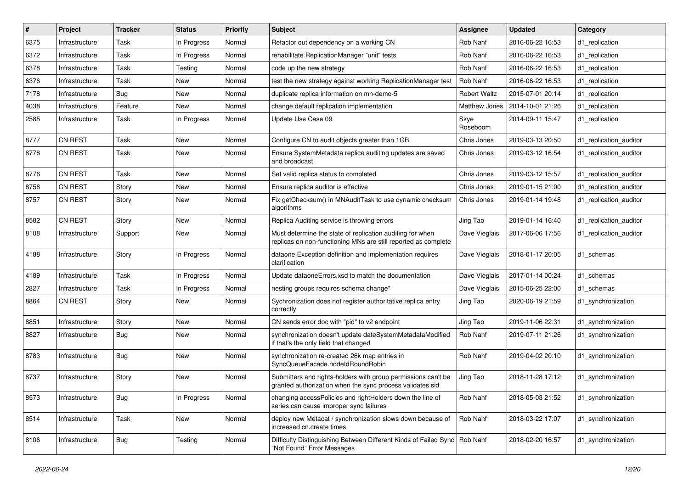| #    | Project        | <b>Tracker</b> | <b>Status</b> | <b>Priority</b> | Subject                                                                                                                     | <b>Assignee</b>     | <b>Updated</b>   | Category               |
|------|----------------|----------------|---------------|-----------------|-----------------------------------------------------------------------------------------------------------------------------|---------------------|------------------|------------------------|
| 6375 | Infrastructure | Task           | In Progress   | Normal          | Refactor out dependency on a working CN                                                                                     | Rob Nahf            | 2016-06-22 16:53 | d1 replication         |
| 6372 | Infrastructure | Task           | In Progress   | Normal          | rehabilitate ReplicationManager "unit" tests                                                                                | Rob Nahf            | 2016-06-22 16:53 | d1 replication         |
| 6378 | Infrastructure | Task           | Testing       | Normal          | code up the new strategy                                                                                                    | Rob Nahf            | 2016-06-22 16:53 | d1_replication         |
| 6376 | Infrastructure | Task           | New           | Normal          | test the new strategy against working ReplicationManager test                                                               | Rob Nahf            | 2016-06-22 16:53 | d1 replication         |
| 7178 | Infrastructure | Bug            | New           | Normal          | duplicate replica information on mn-demo-5                                                                                  | <b>Robert Waltz</b> | 2015-07-01 20:14 | d1 replication         |
| 4038 | Infrastructure | Feature        | New           | Normal          | change default replication implementation                                                                                   | Matthew Jones       | 2014-10-01 21:26 | d1 replication         |
| 2585 | Infrastructure | Task           | In Progress   | Normal          | Update Use Case 09                                                                                                          | Skye<br>Roseboom    | 2014-09-11 15:47 | d1 replication         |
| 8777 | <b>CN REST</b> | Task           | New           | Normal          | Configure CN to audit objects greater than 1GB                                                                              | Chris Jones         | 2019-03-13 20:50 | d1_replication_auditor |
| 8778 | <b>CN REST</b> | Task           | New           | Normal          | Ensure SystemMetadata replica auditing updates are saved<br>and broadcast                                                   | Chris Jones         | 2019-03-12 16:54 | d1 replication auditor |
| 8776 | <b>CN REST</b> | Task           | New           | Normal          | Set valid replica status to completed                                                                                       | Chris Jones         | 2019-03-12 15:57 | d1_replication_auditor |
| 8756 | <b>CN REST</b> | Story          | New           | Normal          | Ensure replica auditor is effective                                                                                         | Chris Jones         | 2019-01-15 21:00 | d1 replication auditor |
| 8757 | <b>CN REST</b> | Story          | New           | Normal          | Fix getChecksum() in MNAuditTask to use dynamic checksum<br>algorithms                                                      | Chris Jones         | 2019-01-14 19:48 | d1 replication auditor |
| 8582 | CN REST        | Story          | New           | Normal          | Replica Auditing service is throwing errors                                                                                 | Jing Tao            | 2019-01-14 16:40 | d1 replication auditor |
| 8108 | Infrastructure | Support        | New           | Normal          | Must determine the state of replication auditing for when<br>replicas on non-functioning MNs are still reported as complete | Dave Vieglais       | 2017-06-06 17:56 | d1_replication_auditor |
| 4188 | Infrastructure | Story          | In Progress   | Normal          | dataone Exception definition and implementation requires<br>clarification                                                   | Dave Vieglais       | 2018-01-17 20:05 | d1_schemas             |
| 4189 | Infrastructure | Task           | In Progress   | Normal          | Update dataoneErrors.xsd to match the documentation                                                                         | Dave Vieglais       | 2017-01-14 00:24 | d1_schemas             |
| 2827 | Infrastructure | Task           | In Progress   | Normal          | nesting groups requires schema change*                                                                                      | Dave Vieglais       | 2015-06-25 22:00 | d1 schemas             |
| 8864 | <b>CN REST</b> | Story          | New           | Normal          | Sychronization does not register authoritative replica entry<br>correctly                                                   | Jing Tao            | 2020-06-19 21:59 | d1_synchronization     |
| 8851 | Infrastructure | Story          | New           | Normal          | CN sends error doc with "pid" to v2 endpoint                                                                                | Jing Tao            | 2019-11-06 22:31 | d1_synchronization     |
| 8827 | Infrastructure | <b>Bug</b>     | New           | Normal          | synchronization doesn't update dateSystemMetadataModified<br>if that's the only field that changed                          | Rob Nahf            | 2019-07-11 21:26 | d1 synchronization     |
| 8783 | Infrastructure | Bug            | New           | Normal          | synchronization re-created 26k map entries in<br>SyncQueueFacade.nodeIdRoundRobin                                           | Rob Nahf            | 2019-04-02 20:10 | d1 synchronization     |
| 8737 | Infrastructure | Story          | New           | Normal          | Submitters and rights-holders with group permissions can't be<br>granted authorization when the sync process validates sid  | Jing Tao            | 2018-11-28 17:12 | d1_synchronization     |
| 8573 | Infrastructure | <b>Bug</b>     | In Progress   | Normal          | changing accessPolicies and rightHolders down the line of<br>series can cause improper sync failures                        | Rob Nahf            | 2018-05-03 21:52 | d1_synchronization     |
| 8514 | Infrastructure | Task           | New           | Normal          | deploy new Metacat / synchronization slows down because of<br>increased cn.create times                                     | Rob Nahf            | 2018-03-22 17:07 | d1_synchronization     |
| 8106 | Infrastructure | <b>Bug</b>     | Testing       | Normal          | Difficulty Distinguishing Between Different Kinds of Failed Sync<br>"Not Found" Error Messages                              | Rob Nahf            | 2018-02-20 16:57 | d1_synchronization     |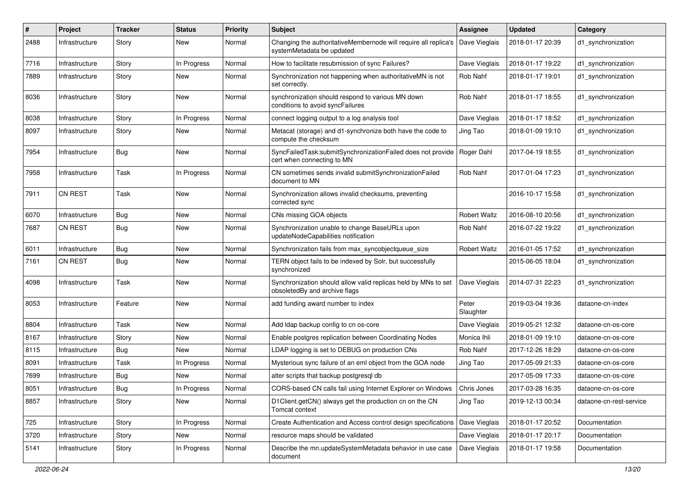| #    | Project        | <b>Tracker</b> | <b>Status</b> | <b>Priority</b> | <b>Subject</b>                                                                                  | <b>Assignee</b>     | <b>Updated</b>   | Category                |
|------|----------------|----------------|---------------|-----------------|-------------------------------------------------------------------------------------------------|---------------------|------------------|-------------------------|
| 2488 | Infrastructure | Story          | New           | Normal          | Changing the authoritativeMembernode will require all replica's<br>systemMetadata be updated    | Dave Vieglais       | 2018-01-17 20:39 | d1_synchronization      |
| 7716 | Infrastructure | Story          | In Progress   | Normal          | How to facilitate resubmission of sync Failures?                                                | Dave Vieglais       | 2018-01-17 19:22 | d1 synchronization      |
| 7889 | Infrastructure | Story          | New           | Normal          | Synchronization not happening when authoritativeMN is not<br>set correctly.                     | Rob Nahf            | 2018-01-17 19:01 | d1_synchronization      |
| 8036 | Infrastructure | Story          | New           | Normal          | synchronization should respond to various MN down<br>conditions to avoid syncFailures           | Rob Nahf            | 2018-01-17 18:55 | d1_synchronization      |
| 8038 | Infrastructure | Story          | In Progress   | Normal          | connect logging output to a log analysis tool                                                   | Dave Vieglais       | 2018-01-17 18:52 | d1_synchronization      |
| 8097 | Infrastructure | Story          | New           | Normal          | Metacat (storage) and d1-synchronize both have the code to<br>compute the checksum              | Jing Tao            | 2018-01-09 19:10 | d1 synchronization      |
| 7954 | Infrastructure | <b>Bug</b>     | New           | Normal          | SyncFailedTask:submitSynchronizationFailed does not provide<br>cert when connecting to MN       | Roger Dahl          | 2017-04-19 18:55 | d1_synchronization      |
| 7958 | Infrastructure | Task           | In Progress   | Normal          | CN sometimes sends invalid submitSynchronizationFailed<br>document to MN                        | Rob Nahf            | 2017-01-04 17:23 | d1_synchronization      |
| 7911 | <b>CN REST</b> | Task           | New           | Normal          | Synchronization allows invalid checksums, preventing<br>corrected sync                          |                     | 2016-10-17 15:58 | d1_synchronization      |
| 6070 | Infrastructure | <b>Bug</b>     | New           | Normal          | CNs missing GOA objects                                                                         | <b>Robert Waltz</b> | 2016-08-10 20:56 | d1 synchronization      |
| 7687 | <b>CN REST</b> | Bug            | New           | Normal          | Synchronization unable to change BaseURLs upon<br>updateNodeCapabilities notification           | Rob Nahf            | 2016-07-22 19:22 | d1 synchronization      |
| 6011 | Infrastructure | <b>Bug</b>     | New           | Normal          | Synchronization fails from max_syncobjectqueue_size                                             | <b>Robert Waltz</b> | 2016-01-05 17:52 | d1 synchronization      |
| 7161 | <b>CN REST</b> | Bug            | New           | Normal          | TERN object fails to be indexed by Solr, but successfully<br>synchronized                       |                     | 2015-06-05 18:04 | d1 synchronization      |
| 4098 | Infrastructure | Task           | New           | Normal          | Synchronization should allow valid replicas held by MNs to set<br>obsoletedBy and archive flags | Dave Vieglais       | 2014-07-31 22:23 | d1_synchronization      |
| 8053 | Infrastructure | Feature        | New           | Normal          | add funding award number to index                                                               | Peter<br>Slaughter  | 2019-03-04 19:36 | dataone-cn-index        |
| 8804 | Infrastructure | Task           | New           | Normal          | Add Idap backup config to cn os-core                                                            | Dave Vieglais       | 2019-05-21 12:32 | dataone-cn-os-core      |
| 8167 | Infrastructure | Story          | New           | Normal          | Enable postgres replication between Coordinating Nodes                                          | Monica Ihli         | 2018-01-09 19:10 | dataone-cn-os-core      |
| 8115 | Infrastructure | Bug            | New           | Normal          | LDAP logging is set to DEBUG on production CNs                                                  | Rob Nahf            | 2017-12-26 18:29 | dataone-cn-os-core      |
| 8091 | Infrastructure | Task           | In Progress   | Normal          | Mysterious sync failure of an eml object from the GOA node                                      | Jing Tao            | 2017-05-09 21:33 | dataone-cn-os-core      |
| 7699 | Infrastructure | <b>Bug</b>     | New           | Normal          | alter scripts that backup postgresql db                                                         |                     | 2017-05-09 17:33 | dataone-cn-os-core      |
| 8051 | Infrastructure | <b>Bug</b>     | In Progress   | Normal          | CORS-based CN calls fail using Internet Explorer on Windows   Chris Jones                       |                     | 2017-03-28 16:35 | dataone-cn-os-core      |
| 8857 | Infrastructure | Story          | New           | Normal          | D1Client.getCN() always get the production cn on the CN<br>Tomcat context                       | Jing Tao            | 2019-12-13 00:34 | dataone-cn-rest-service |
| 725  | Infrastructure | Story          | In Progress   | Normal          | Create Authentication and Access control design specifications                                  | Dave Vieglais       | 2018-01-17 20:52 | Documentation           |
| 3720 | Infrastructure | Story          | New           | Normal          | resource maps should be validated                                                               | Dave Vieglais       | 2018-01-17 20:17 | Documentation           |
| 5141 | Infrastructure | Story          | In Progress   | Normal          | Describe the mn.updateSystemMetadata behavior in use case<br>document                           | Dave Vieglais       | 2018-01-17 19:58 | Documentation           |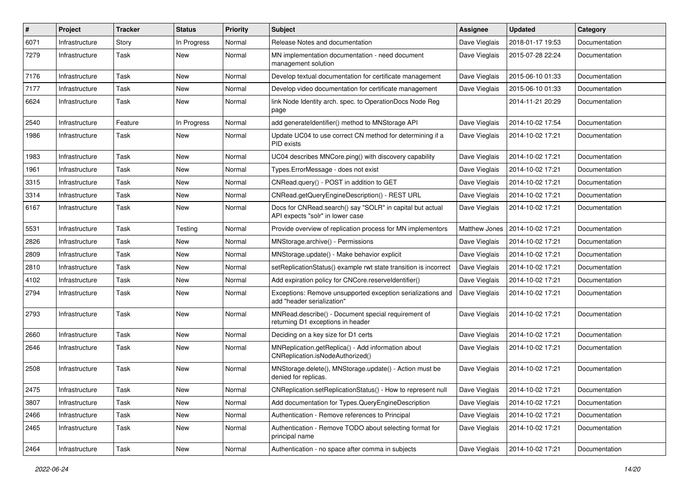| #    | Project        | <b>Tracker</b> | <b>Status</b> | <b>Priority</b> | <b>Subject</b>                                                                                | Assignee      | <b>Updated</b>   | Category      |
|------|----------------|----------------|---------------|-----------------|-----------------------------------------------------------------------------------------------|---------------|------------------|---------------|
| 6071 | Infrastructure | Story          | In Progress   | Normal          | Release Notes and documentation                                                               | Dave Vieglais | 2018-01-17 19:53 | Documentation |
| 7279 | Infrastructure | Task           | <b>New</b>    | Normal          | MN implementation documentation - need document<br>management solution                        | Dave Vieglais | 2015-07-28 22:24 | Documentation |
| 7176 | Infrastructure | Task           | New           | Normal          | Develop textual documentation for certificate management                                      | Dave Vieglais | 2015-06-10 01:33 | Documentation |
| 7177 | Infrastructure | Task           | New           | Normal          | Develop video documentation for certificate management                                        | Dave Vieglais | 2015-06-10 01:33 | Documentation |
| 6624 | Infrastructure | Task           | New           | Normal          | link Node Identity arch. spec. to OperationDocs Node Reg<br>page                              |               | 2014-11-21 20:29 | Documentation |
| 2540 | Infrastructure | Feature        | In Progress   | Normal          | add generateIdentifier() method to MNStorage API                                              | Dave Vieglais | 2014-10-02 17:54 | Documentation |
| 1986 | Infrastructure | Task           | New           | Normal          | Update UC04 to use correct CN method for determining if a<br>PID exists                       | Dave Vieglais | 2014-10-02 17:21 | Documentation |
| 1983 | Infrastructure | Task           | New           | Normal          | UC04 describes MNCore.ping() with discovery capability                                        | Dave Vieglais | 2014-10-02 17:21 | Documentation |
| 1961 | Infrastructure | Task           | New           | Normal          | Types.ErrorMessage - does not exist                                                           | Dave Vieglais | 2014-10-02 17:21 | Documentation |
| 3315 | Infrastructure | Task           | <b>New</b>    | Normal          | CNRead.query() - POST in addition to GET                                                      | Dave Vieglais | 2014-10-02 17:21 | Documentation |
| 3314 | Infrastructure | Task           | New           | Normal          | CNRead.getQueryEngineDescription() - REST URL                                                 | Dave Vieglais | 2014-10-02 17:21 | Documentation |
| 6167 | Infrastructure | Task           | New           | Normal          | Docs for CNRead.search() say "SOLR" in capital but actual<br>API expects "solr" in lower case | Dave Vieglais | 2014-10-02 17:21 | Documentation |
| 5531 | Infrastructure | Task           | Testing       | Normal          | Provide overview of replication process for MN implementors                                   | Matthew Jones | 2014-10-02 17:21 | Documentation |
| 2826 | Infrastructure | Task           | New           | Normal          | MNStorage.archive() - Permissions                                                             | Dave Vieglais | 2014-10-02 17:21 | Documentation |
| 2809 | Infrastructure | Task           | New           | Normal          | MNStorage.update() - Make behavior explicit                                                   | Dave Vieglais | 2014-10-02 17:21 | Documentation |
| 2810 | Infrastructure | Task           | New           | Normal          | setReplicationStatus() example rwt state transition is incorrect                              | Dave Vieglais | 2014-10-02 17:21 | Documentation |
| 4102 | Infrastructure | Task           | New           | Normal          | Add expiration policy for CNCore.reserveldentifier()                                          | Dave Vieglais | 2014-10-02 17:21 | Documentation |
| 2794 | Infrastructure | Task           | New           | Normal          | Exceptions: Remove unsupported exception serializations and<br>add "header serialization"     | Dave Vieglais | 2014-10-02 17:21 | Documentation |
| 2793 | Infrastructure | Task           | New           | Normal          | MNRead.describe() - Document special requirement of<br>returning D1 exceptions in header      | Dave Vieglais | 2014-10-02 17:21 | Documentation |
| 2660 | Infrastructure | Task           | <b>New</b>    | Normal          | Deciding on a key size for D1 certs                                                           | Dave Vieglais | 2014-10-02 17:21 | Documentation |
| 2646 | Infrastructure | Task           | New           | Normal          | MNReplication.getReplica() - Add information about<br>CNReplication.isNodeAuthorized()        | Dave Vieglais | 2014-10-02 17:21 | Documentation |
| 2508 | Infrastructure | Task           | New           | Normal          | MNStorage.delete(), MNStorage.update() - Action must be<br>denied for replicas.               | Dave Vieglais | 2014-10-02 17:21 | Documentation |
| 2475 | Infrastructure | Task           | New           | Normal          | CNReplication.setReplicationStatus() - How to represent null                                  | Dave Vieglais | 2014-10-02 17:21 | Documentation |
| 3807 | Infrastructure | Task           | New           | Normal          | Add documentation for Types.QueryEngineDescription                                            | Dave Vieglais | 2014-10-02 17:21 | Documentation |
| 2466 | Infrastructure | Task           | New           | Normal          | Authentication - Remove references to Principal                                               | Dave Vieglais | 2014-10-02 17:21 | Documentation |
| 2465 | Infrastructure | Task           | New           | Normal          | Authentication - Remove TODO about selecting format for<br>principal name                     | Dave Vieglais | 2014-10-02 17:21 | Documentation |
| 2464 | Infrastructure | Task           | New           | Normal          | Authentication - no space after comma in subjects                                             | Dave Vieglais | 2014-10-02 17:21 | Documentation |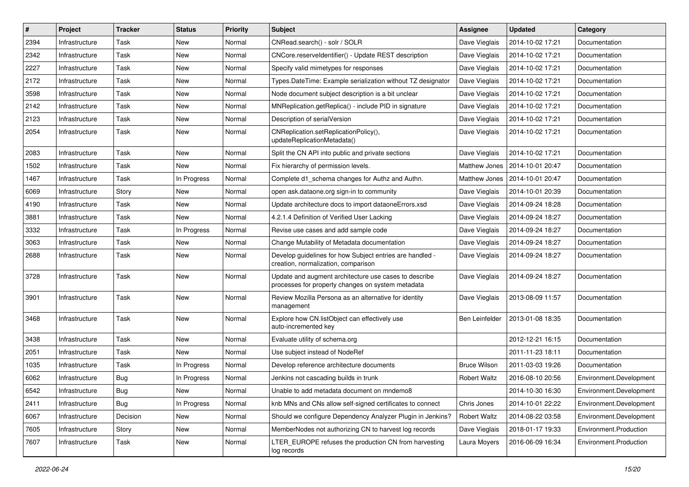| #    | Project        | <b>Tracker</b> | <b>Status</b> | <b>Priority</b> | <b>Subject</b>                                                                                             | Assignee              | <b>Updated</b>   | Category                |
|------|----------------|----------------|---------------|-----------------|------------------------------------------------------------------------------------------------------------|-----------------------|------------------|-------------------------|
| 2394 | Infrastructure | Task           | New           | Normal          | CNRead.search() - solr / SOLR                                                                              | Dave Vieglais         | 2014-10-02 17:21 | Documentation           |
| 2342 | Infrastructure | Task           | <b>New</b>    | Normal          | CNCore.reserveldentifier() - Update REST description                                                       | Dave Vieglais         | 2014-10-02 17:21 | Documentation           |
| 2227 | Infrastructure | Task           | New           | Normal          | Specify valid mimetypes for responses                                                                      | Dave Vieglais         | 2014-10-02 17:21 | Documentation           |
| 2172 | Infrastructure | Task           | New           | Normal          | Types.DateTime: Example serialization without TZ designator                                                | Dave Vieglais         | 2014-10-02 17:21 | Documentation           |
| 3598 | Infrastructure | Task           | New           | Normal          | Node document subject description is a bit unclear                                                         | Dave Vieglais         | 2014-10-02 17:21 | Documentation           |
| 2142 | Infrastructure | Task           | New           | Normal          | MNReplication.getReplica() - include PID in signature                                                      | Dave Vieglais         | 2014-10-02 17:21 | Documentation           |
| 2123 | Infrastructure | Task           | New           | Normal          | Description of serialVersion                                                                               | Dave Vieglais         | 2014-10-02 17:21 | Documentation           |
| 2054 | Infrastructure | Task           | New           | Normal          | CNReplication.setReplicationPolicy(),<br>updateReplicationMetadata()                                       | Dave Vieglais         | 2014-10-02 17:21 | Documentation           |
| 2083 | Infrastructure | Task           | New           | Normal          | Split the CN API into public and private sections                                                          | Dave Vieglais         | 2014-10-02 17:21 | Documentation           |
| 1502 | Infrastructure | Task           | New           | Normal          | Fix hierarchy of permission levels.                                                                        | Matthew Jones         | 2014-10-01 20:47 | Documentation           |
| 1467 | Infrastructure | Task           | In Progress   | Normal          | Complete d1_schema changes for Authz and Authn.                                                            | Matthew Jones         | 2014-10-01 20:47 | Documentation           |
| 6069 | Infrastructure | Story          | New           | Normal          | open ask.dataone.org sign-in to community                                                                  | Dave Vieglais         | 2014-10-01 20:39 | Documentation           |
| 4190 | Infrastructure | Task           | New           | Normal          | Update architecture docs to import dataoneErrors.xsd                                                       | Dave Vieglais         | 2014-09-24 18:28 | Documentation           |
| 3881 | Infrastructure | Task           | New           | Normal          | 4.2.1.4 Definition of Verified User Lacking                                                                | Dave Vieglais         | 2014-09-24 18:27 | Documentation           |
| 3332 | Infrastructure | Task           | In Progress   | Normal          | Revise use cases and add sample code                                                                       | Dave Vieglais         | 2014-09-24 18:27 | Documentation           |
| 3063 | Infrastructure | Task           | New           | Normal          | Change Mutability of Metadata documentation                                                                | Dave Vieglais         | 2014-09-24 18:27 | Documentation           |
| 2688 | Infrastructure | Task           | New           | Normal          | Develop guidelines for how Subject entries are handled -<br>creation, normalization, comparison            | Dave Vieglais         | 2014-09-24 18:27 | Documentation           |
| 3728 | Infrastructure | Task           | New           | Normal          | Update and augment architecture use cases to describe<br>processes for property changes on system metadata | Dave Vieglais         | 2014-09-24 18:27 | Documentation           |
| 3901 | Infrastructure | Task           | New           | Normal          | Review Mozilla Persona as an alternative for identity<br>management                                        | Dave Vieglais         | 2013-08-09 11:57 | Documentation           |
| 3468 | Infrastructure | Task           | New           | Normal          | Explore how CN.listObject can effectively use<br>auto-incremented key                                      | <b>Ben Leinfelder</b> | 2013-01-08 18:35 | Documentation           |
| 3438 | Infrastructure | Task           | New           | Normal          | Evaluate utility of schema.org                                                                             |                       | 2012-12-21 16:15 | Documentation           |
| 2051 | Infrastructure | Task           | New           | Normal          | Use subject instead of NodeRef                                                                             |                       | 2011-11-23 18:11 | Documentation           |
| 1035 | Infrastructure | Task           | In Progress   | Normal          | Develop reference architecture documents                                                                   | <b>Bruce Wilson</b>   | 2011-03-03 19:26 | Documentation           |
| 6062 | Infrastructure | Bug            | In Progress   | Normal          | Jenkins not cascading builds in trunk                                                                      | <b>Robert Waltz</b>   | 2016-08-10 20:56 | Environment.Development |
| 6542 | Infrastructure | Bug            | <b>New</b>    | Normal          | Unable to add metadata document on mndemo8                                                                 |                       | 2014-10-30 16:30 | Environment.Development |
| 2411 | Infrastructure | <b>Bug</b>     | In Progress   | Normal          | knb MNs and CNs allow self-signed certificates to connect                                                  | Chris Jones           | 2014-10-01 22:22 | Environment.Development |
| 6067 | Infrastructure | Decision       | New           | Normal          | Should we configure Dependency Analyzer Plugin in Jenkins?                                                 | <b>Robert Waltz</b>   | 2014-08-22 03:58 | Environment.Development |
| 7605 | Infrastructure | Story          | New           | Normal          | MemberNodes not authorizing CN to harvest log records                                                      | Dave Vieglais         | 2018-01-17 19:33 | Environment.Production  |
| 7607 | Infrastructure | Task           | New           | Normal          | LTER_EUROPE refuses the production CN from harvesting<br>log records                                       | Laura Moyers          | 2016-06-09 16:34 | Environment.Production  |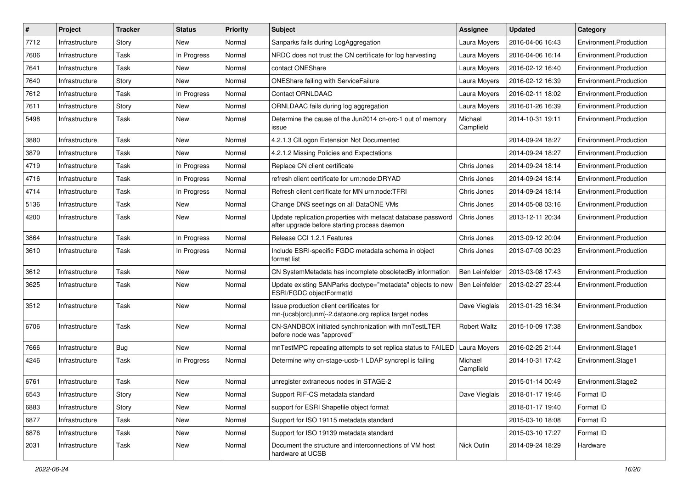| #    | Project        | <b>Tracker</b> | <b>Status</b> | <b>Priority</b> | <b>Subject</b>                                                                                               | <b>Assignee</b>      | <b>Updated</b>   | Category               |
|------|----------------|----------------|---------------|-----------------|--------------------------------------------------------------------------------------------------------------|----------------------|------------------|------------------------|
| 7712 | Infrastructure | Story          | New           | Normal          | Sanparks fails during LogAggregation                                                                         | Laura Moyers         | 2016-04-06 16:43 | Environment.Production |
| 7606 | Infrastructure | Task           | In Progress   | Normal          | NRDC does not trust the CN certificate for log harvesting                                                    | Laura Moyers         | 2016-04-06 16:14 | Environment.Production |
| 7641 | Infrastructure | Task           | New           | Normal          | contact ONEShare                                                                                             | Laura Moyers         | 2016-02-12 16:40 | Environment.Production |
| 7640 | Infrastructure | Story          | New           | Normal          | <b>ONEShare failing with ServiceFailure</b>                                                                  | Laura Moyers         | 2016-02-12 16:39 | Environment.Production |
| 7612 | Infrastructure | Task           | In Progress   | Normal          | <b>Contact ORNLDAAC</b>                                                                                      | Laura Moyers         | 2016-02-11 18:02 | Environment.Production |
| 7611 | Infrastructure | Story          | New           | Normal          | ORNLDAAC fails during log aggregation                                                                        | Laura Moyers         | 2016-01-26 16:39 | Environment.Production |
| 5498 | Infrastructure | Task           | New           | Normal          | Determine the cause of the Jun2014 cn-orc-1 out of memory<br>issue                                           | Michael<br>Campfield | 2014-10-31 19:11 | Environment.Production |
| 3880 | Infrastructure | Task           | <b>New</b>    | Normal          | 4.2.1.3 CILogon Extension Not Documented                                                                     |                      | 2014-09-24 18:27 | Environment.Production |
| 3879 | Infrastructure | Task           | New           | Normal          | 4.2.1.2 Missing Policies and Expectations                                                                    |                      | 2014-09-24 18:27 | Environment.Production |
| 4719 | Infrastructure | Task           | In Progress   | Normal          | Replace CN client certificate                                                                                | Chris Jones          | 2014-09-24 18:14 | Environment.Production |
| 4716 | Infrastructure | Task           | In Progress   | Normal          | refresh client certificate for urn:node:DRYAD                                                                | Chris Jones          | 2014-09-24 18:14 | Environment.Production |
| 4714 | Infrastructure | Task           | In Progress   | Normal          | Refresh client certificate for MN urn:node:TFRI                                                              | Chris Jones          | 2014-09-24 18:14 | Environment.Production |
| 5136 | Infrastructure | Task           | New           | Normal          | Change DNS seetings on all DataONE VMs                                                                       | Chris Jones          | 2014-05-08 03:16 | Environment.Production |
| 4200 | Infrastructure | Task           | New           | Normal          | Update replication.properties with metacat database password<br>after upgrade before starting process daemon | Chris Jones          | 2013-12-11 20:34 | Environment.Production |
| 3864 | Infrastructure | Task           | In Progress   | Normal          | Release CCI 1.2.1 Features                                                                                   | Chris Jones          | 2013-09-12 20:04 | Environment.Production |
| 3610 | Infrastructure | Task           | In Progress   | Normal          | Include ESRI-specific FGDC metadata schema in object<br>format list                                          | Chris Jones          | 2013-07-03 00:23 | Environment.Production |
| 3612 | Infrastructure | Task           | New           | Normal          | CN SystemMetadata has incomplete obsoletedBy information                                                     | Ben Leinfelder       | 2013-03-08 17:43 | Environment.Production |
| 3625 | Infrastructure | Task           | <b>New</b>    | Normal          | Update existing SANParks doctype="metadata" objects to new<br>ESRI/FGDC objectFormatId                       | Ben Leinfelder       | 2013-02-27 23:44 | Environment.Production |
| 3512 | Infrastructure | Task           | New           | Normal          | Issue production client certificates for<br>mn-{ucsb orc unm}-2.dataone.org replica target nodes             | Dave Vieglais        | 2013-01-23 16:34 | Environment.Production |
| 6706 | Infrastructure | Task           | New           | Normal          | CN-SANDBOX initiated synchronization with mnTestLTER<br>before node was "approved"                           | <b>Robert Waltz</b>  | 2015-10-09 17:38 | Environment.Sandbox    |
| 7666 | Infrastructure | Bug            | New           | Normal          | mnTestMPC repeating attempts to set replica status to FAILED                                                 | Laura Moyers         | 2016-02-25 21:44 | Environment.Stage1     |
| 4246 | Infrastructure | Task           | In Progress   | Normal          | Determine why cn-stage-ucsb-1 LDAP syncrepl is failing                                                       | Michael<br>Campfield | 2014-10-31 17:42 | Environment.Stage1     |
| 6761 | Infrastructure | Task           | <b>New</b>    | Normal          | unregister extraneous nodes in STAGE-2                                                                       |                      | 2015-01-14 00:49 | Environment.Stage2     |
| 6543 | Infrastructure | Story          | New           | Normal          | Support RIF-CS metadata standard                                                                             | Dave Vieglais        | 2018-01-17 19:46 | Format ID              |
| 6883 | Infrastructure | Story          | New           | Normal          | support for ESRI Shapefile object format                                                                     |                      | 2018-01-17 19:40 | Format ID              |
| 6877 | Infrastructure | Task           | New           | Normal          | Support for ISO 19115 metadata standard                                                                      |                      | 2015-03-10 18:08 | Format ID              |
| 6876 | Infrastructure | Task           | New           | Normal          | Support for ISO 19139 metadata standard                                                                      |                      | 2015-03-10 17:27 | Format ID              |
| 2031 | Infrastructure | Task           | New           | Normal          | Document the structure and interconnections of VM host<br>hardware at UCSB                                   | Nick Outin           | 2014-09-24 18:29 | Hardware               |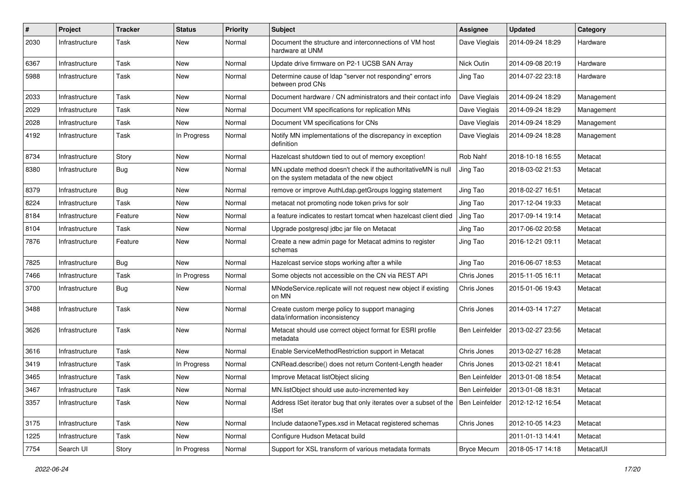| #    | Project        | <b>Tracker</b> | <b>Status</b> | <b>Priority</b> | <b>Subject</b>                                                                                            | <b>Assignee</b>    | <b>Updated</b>   | Category   |
|------|----------------|----------------|---------------|-----------------|-----------------------------------------------------------------------------------------------------------|--------------------|------------------|------------|
| 2030 | Infrastructure | Task           | New           | Normal          | Document the structure and interconnections of VM host<br>hardware at UNM                                 | Dave Vieglais      | 2014-09-24 18:29 | Hardware   |
| 6367 | Infrastructure | Task           | New           | Normal          | Update drive firmware on P2-1 UCSB SAN Array                                                              | Nick Outin         | 2014-09-08 20:19 | Hardware   |
| 5988 | Infrastructure | Task           | New           | Normal          | Determine cause of Idap "server not responding" errors<br>between prod CNs                                | Jing Tao           | 2014-07-22 23:18 | Hardware   |
| 2033 | Infrastructure | Task           | New           | Normal          | Document hardware / CN administrators and their contact info                                              | Dave Vieglais      | 2014-09-24 18:29 | Management |
| 2029 | Infrastructure | Task           | New           | Normal          | Document VM specifications for replication MNs                                                            | Dave Vieglais      | 2014-09-24 18:29 | Management |
| 2028 | Infrastructure | Task           | New           | Normal          | Document VM specifications for CNs                                                                        | Dave Vieglais      | 2014-09-24 18:29 | Management |
| 4192 | Infrastructure | Task           | In Progress   | Normal          | Notify MN implementations of the discrepancy in exception<br>definition                                   | Dave Vieglais      | 2014-09-24 18:28 | Management |
| 8734 | Infrastructure | Story          | New           | Normal          | Hazelcast shutdown tied to out of memory exception!                                                       | Rob Nahf           | 2018-10-18 16:55 | Metacat    |
| 8380 | Infrastructure | Bug            | New           | Normal          | MN update method doesn't check if the authoritativeMN is null<br>on the system metadata of the new object | Jing Tao           | 2018-03-02 21:53 | Metacat    |
| 8379 | Infrastructure | <b>Bug</b>     | New           | Normal          | remove or improve AuthLdap.getGroups logging statement                                                    | Jing Tao           | 2018-02-27 16:51 | Metacat    |
| 8224 | Infrastructure | Task           | New           | Normal          | metacat not promoting node token privs for solr                                                           | Jing Tao           | 2017-12-04 19:33 | Metacat    |
| 8184 | Infrastructure | Feature        | New           | Normal          | a feature indicates to restart tomcat when hazelcast client died                                          | Jing Tao           | 2017-09-14 19:14 | Metacat    |
| 8104 | Infrastructure | Task           | New           | Normal          | Upgrade postgresql jdbc jar file on Metacat                                                               | Jing Tao           | 2017-06-02 20:58 | Metacat    |
| 7876 | Infrastructure | Feature        | New           | Normal          | Create a new admin page for Metacat admins to register<br>schemas                                         | Jing Tao           | 2016-12-21 09:11 | Metacat    |
| 7825 | Infrastructure | Bug            | New           | Normal          | Hazelcast service stops working after a while                                                             | Jing Tao           | 2016-06-07 18:53 | Metacat    |
| 7466 | Infrastructure | Task           | In Progress   | Normal          | Some objects not accessible on the CN via REST API                                                        | Chris Jones        | 2015-11-05 16:11 | Metacat    |
| 3700 | Infrastructure | Bug            | New           | Normal          | MNodeService.replicate will not request new object if existing<br>on MN                                   | Chris Jones        | 2015-01-06 19:43 | Metacat    |
| 3488 | Infrastructure | Task           | New           | Normal          | Create custom merge policy to support managing<br>data/information inconsistency                          | Chris Jones        | 2014-03-14 17:27 | Metacat    |
| 3626 | Infrastructure | Task           | New           | Normal          | Metacat should use correct object format for ESRI profile<br>metadata                                     | Ben Leinfelder     | 2013-02-27 23:56 | Metacat    |
| 3616 | Infrastructure | Task           | New           | Normal          | Enable ServiceMethodRestriction support in Metacat                                                        | Chris Jones        | 2013-02-27 16:28 | Metacat    |
| 3419 | Infrastructure | Task           | In Progress   | Normal          | CNRead.describe() does not return Content-Length header                                                   | Chris Jones        | 2013-02-21 18:41 | Metacat    |
| 3465 | Infrastructure | Task           | New           | Normal          | Improve Metacat listObject slicing                                                                        | Ben Leinfelder     | 2013-01-08 18:54 | Metacat    |
| 3467 | Infrastructure | Task           | New           | Normal          | MN.listObject should use auto-incremented key                                                             | Ben Leinfelder     | 2013-01-08 18:31 | Metacat    |
| 3357 | Infrastructure | Task           | New           | Normal          | Address ISet iterator bug that only iterates over a subset of the<br>ISet                                 | Ben Leinfelder     | 2012-12-12 16:54 | Metacat    |
| 3175 | Infrastructure | Task           | New           | Normal          | Include dataoneTypes.xsd in Metacat registered schemas                                                    | Chris Jones        | 2012-10-05 14:23 | Metacat    |
| 1225 | Infrastructure | Task           | New           | Normal          | Configure Hudson Metacat build                                                                            |                    | 2011-01-13 14:41 | Metacat    |
| 7754 | Search UI      | Story          | In Progress   | Normal          | Support for XSL transform of various metadata formats                                                     | <b>Bryce Mecum</b> | 2018-05-17 14:18 | MetacatUI  |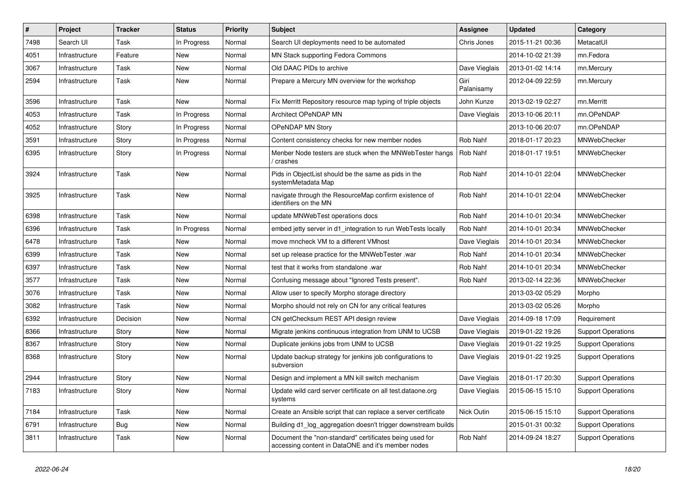| #    | Project        | <b>Tracker</b> | <b>Status</b> | <b>Priority</b> | <b>Subject</b>                                                                                                | Assignee           | <b>Updated</b>   | Category                  |
|------|----------------|----------------|---------------|-----------------|---------------------------------------------------------------------------------------------------------------|--------------------|------------------|---------------------------|
| 7498 | Search UI      | Task           | In Progress   | Normal          | Search UI deployments need to be automated                                                                    | Chris Jones        | 2015-11-21 00:36 | MetacatUI                 |
| 4051 | Infrastructure | Feature        | <b>New</b>    | Normal          | MN Stack supporting Fedora Commons                                                                            |                    | 2014-10-02 21:39 | mn.Fedora                 |
| 3067 | Infrastructure | Task           | New           | Normal          | Old DAAC PIDs to archive                                                                                      | Dave Vieglais      | 2013-01-02 14:14 | mn.Mercury                |
| 2594 | Infrastructure | Task           | New           | Normal          | Prepare a Mercury MN overview for the workshop                                                                | Giri<br>Palanisamy | 2012-04-09 22:59 | mn.Mercury                |
| 3596 | Infrastructure | Task           | New           | Normal          | Fix Merritt Repository resource map typing of triple objects                                                  | John Kunze         | 2013-02-19 02:27 | mn.Merritt                |
| 4053 | Infrastructure | Task           | In Progress   | Normal          | Architect OPeNDAP MN                                                                                          | Dave Vieglais      | 2013-10-06 20:11 | mn.OPeNDAP                |
| 4052 | Infrastructure | Story          | In Progress   | Normal          | <b>OPeNDAP MN Story</b>                                                                                       |                    | 2013-10-06 20:07 | mn.OPeNDAP                |
| 3591 | Infrastructure | Story          | In Progress   | Normal          | Content consistency checks for new member nodes                                                               | Rob Nahf           | 2018-01-17 20:23 | MNWebChecker              |
| 6395 | Infrastructure | Story          | In Progress   | Normal          | Menber Node testers are stuck when the MNWebTester hangs<br>crashes /                                         | Rob Nahf           | 2018-01-17 19:51 | MNWebChecker              |
| 3924 | Infrastructure | Task           | New           | Normal          | Pids in ObjectList should be the same as pids in the<br>systemMetadata Map                                    | Rob Nahf           | 2014-10-01 22:04 | MNWebChecker              |
| 3925 | Infrastructure | Task           | New           | Normal          | navigate through the ResourceMap confirm existence of<br>identifiers on the MN                                | Rob Nahf           | 2014-10-01 22:04 | MNWebChecker              |
| 6398 | Infrastructure | Task           | New           | Normal          | update MNWebTest operations docs                                                                              | Rob Nahf           | 2014-10-01 20:34 | MNWebChecker              |
| 6396 | Infrastructure | Task           | In Progress   | Normal          | embed jetty server in d1_integration to run WebTests locally                                                  | Rob Nahf           | 2014-10-01 20:34 | MNWebChecker              |
| 6478 | Infrastructure | Task           | <b>New</b>    | Normal          | move mncheck VM to a different VMhost                                                                         | Dave Vieglais      | 2014-10-01 20:34 | MNWebChecker              |
| 6399 | Infrastructure | Task           | New           | Normal          | set up release practice for the MNWebTester .war                                                              | Rob Nahf           | 2014-10-01 20:34 | MNWebChecker              |
| 6397 | Infrastructure | Task           | New           | Normal          | test that it works from standalone .war                                                                       | Rob Nahf           | 2014-10-01 20:34 | MNWebChecker              |
| 3577 | Infrastructure | Task           | <b>New</b>    | Normal          | Confusing message about "Ignored Tests present".                                                              | Rob Nahf           | 2013-02-14 22:36 | MNWebChecker              |
| 3076 | Infrastructure | Task           | New           | Normal          | Allow user to specify Morpho storage directory                                                                |                    | 2013-03-02 05:29 | Morpho                    |
| 3082 | Infrastructure | Task           | <b>New</b>    | Normal          | Morpho should not rely on CN for any critical features                                                        |                    | 2013-03-02 05:26 | Morpho                    |
| 6392 | Infrastructure | Decision       | New           | Normal          | CN getChecksum REST API design review                                                                         | Dave Vieglais      | 2014-09-18 17:09 | Requirement               |
| 8366 | Infrastructure | Story          | New           | Normal          | Migrate jenkins continuous integration from UNM to UCSB                                                       | Dave Vieglais      | 2019-01-22 19:26 | <b>Support Operations</b> |
| 8367 | Infrastructure | Story          | New           | Normal          | Duplicate jenkins jobs from UNM to UCSB                                                                       | Dave Vieglais      | 2019-01-22 19:25 | <b>Support Operations</b> |
| 8368 | Infrastructure | Story          | New           | Normal          | Update backup strategy for jenkins job configurations to<br>subversion                                        | Dave Vieglais      | 2019-01-22 19:25 | <b>Support Operations</b> |
| 2944 | Infrastructure | Story          | <b>New</b>    | Normal          | Design and implement a MN kill switch mechanism                                                               | Dave Vieglais      | 2018-01-17 20:30 | <b>Support Operations</b> |
| 7183 | Infrastructure | Story          | New           | Normal          | Update wild card server certificate on all test.dataone.org<br>systems                                        | Dave Vieglais      | 2015-06-15 15:10 | <b>Support Operations</b> |
| 7184 | Infrastructure | Task           | New           | Normal          | Create an Ansible script that can replace a server certificate                                                | Nick Outin         | 2015-06-15 15:10 | <b>Support Operations</b> |
| 6791 | Infrastructure | <b>Bug</b>     | New           | Normal          | Building d1_log_aggregation doesn't trigger downstream builds                                                 |                    | 2015-01-31 00:32 | <b>Support Operations</b> |
| 3811 | Infrastructure | Task           | New           | Normal          | Document the "non-standard" certificates being used for<br>accessing content in DataONE and it's member nodes | Rob Nahf           | 2014-09-24 18:27 | <b>Support Operations</b> |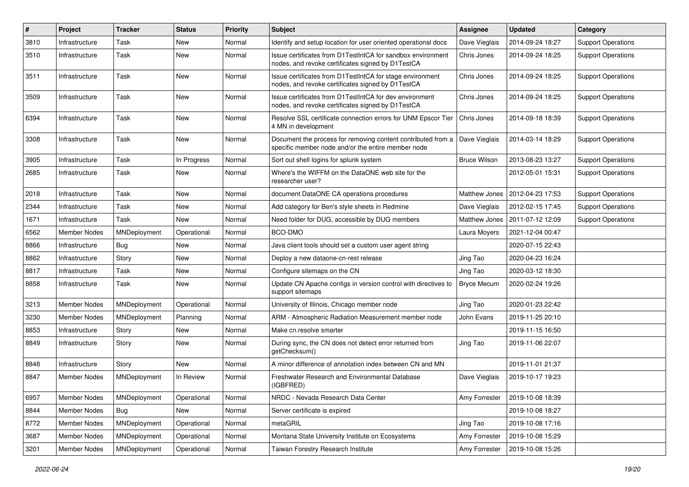| $\#$ | Project             | <b>Tracker</b> | <b>Status</b> | <b>Priority</b> | Subject                                                                                                            | <b>Assignee</b>     | <b>Updated</b>   | Category                  |
|------|---------------------|----------------|---------------|-----------------|--------------------------------------------------------------------------------------------------------------------|---------------------|------------------|---------------------------|
| 3810 | Infrastructure      | Task           | New           | Normal          | Identify and setup location for user oriented operational docs                                                     | Dave Vieglais       | 2014-09-24 18:27 | <b>Support Operations</b> |
| 3510 | Infrastructure      | Task           | New           | Normal          | Issue certificates from D1TestIntCA for sandbox environment<br>nodes, and revoke certificates signed by D1TestCA   | Chris Jones         | 2014-09-24 18:25 | <b>Support Operations</b> |
| 3511 | Infrastructure      | Task           | New           | Normal          | Issue certificates from D1TestIntCA for stage environment<br>nodes, and revoke certificates signed by D1TestCA     | Chris Jones         | 2014-09-24 18:25 | <b>Support Operations</b> |
| 3509 | Infrastructure      | Task           | New           | Normal          | Issue certificates from D1TestIntCA for dev environment<br>nodes, and revoke certificates signed by D1TestCA       | Chris Jones         | 2014-09-24 18:25 | <b>Support Operations</b> |
| 6394 | Infrastructure      | Task           | <b>New</b>    | Normal          | Resolve SSL certificate connection errors for UNM Epscor Tier<br>4 MN in development                               | Chris Jones         | 2014-09-18 18:39 | <b>Support Operations</b> |
| 3308 | Infrastructure      | Task           | New           | Normal          | Document the process for removing content contributed from a<br>specific member node and/or the entire member node | Dave Vieglais       | 2014-03-14 18:29 | <b>Support Operations</b> |
| 3905 | Infrastructure      | Task           | In Progress   | Normal          | Sort out shell logins for splunk system                                                                            | <b>Bruce Wilson</b> | 2013-08-23 13:27 | <b>Support Operations</b> |
| 2685 | Infrastructure      | Task           | New           | Normal          | Where's the WIFFM on the DataONE web site for the<br>researcher user?                                              |                     | 2012-05-01 15:31 | <b>Support Operations</b> |
| 2018 | Infrastructure      | Task           | New           | Normal          | document DataONE CA operations procedures                                                                          | Matthew Jones       | 2012-04-23 17:53 | <b>Support Operations</b> |
| 2344 | Infrastructure      | Task           | New           | Normal          | Add category for Ben's style sheets in Redmine                                                                     | Dave Vieglais       | 2012-02-15 17:45 | <b>Support Operations</b> |
| 1671 | Infrastructure      | Task           | New           | Normal          | Need folder for DUG, accessible by DUG members                                                                     | Matthew Jones       | 2011-07-12 12:09 | <b>Support Operations</b> |
| 6562 | <b>Member Nodes</b> | MNDeployment   | Operational   | Normal          | BCO-DMO                                                                                                            | Laura Moyers        | 2021-12-04 00:47 |                           |
| 8866 | Infrastructure      | <b>Bug</b>     | New           | Normal          | Java client tools should set a custom user agent string                                                            |                     | 2020-07-15 22:43 |                           |
| 8862 | Infrastructure      | Story          | New           | Normal          | Deploy a new dataone-cn-rest release                                                                               | Jing Tao            | 2020-04-23 16:24 |                           |
| 8817 | Infrastructure      | Task           | New           | Normal          | Configure sitemaps on the CN                                                                                       | Jing Tao            | 2020-03-12 18:30 |                           |
| 8858 | Infrastructure      | Task           | New           | Normal          | Update CN Apache configs in version control with directives to<br>support sitemaps                                 | <b>Bryce Mecum</b>  | 2020-02-24 19:26 |                           |
| 3213 | <b>Member Nodes</b> | MNDeployment   | Operational   | Normal          | University of Illinois, Chicago member node                                                                        | Jing Tao            | 2020-01-23 22:42 |                           |
| 3230 | Member Nodes        | MNDeployment   | Planning      | Normal          | ARM - Atmospheric Radiation Measurement member node                                                                | John Evans          | 2019-11-25 20:10 |                           |
| 8853 | Infrastructure      | Story          | <b>New</b>    | Normal          | Make cn.resolve smarter                                                                                            |                     | 2019-11-15 16:50 |                           |
| 8849 | Infrastructure      | Story          | New           | Normal          | During sync, the CN does not detect error returned from<br>getChecksum()                                           | Jing Tao            | 2019-11-06 22:07 |                           |
| 8848 | Infrastructure      | Story          | <b>New</b>    | Normal          | A minor difference of annotation index between CN and MN                                                           |                     | 2019-11-01 21:37 |                           |
| 8847 | Member Nodes        | MNDeployment   | In Review     | Normal          | Freshwater Research and Environmental Database<br>(IGBFRED)                                                        | Dave Vieglais       | 2019-10-17 19:23 |                           |
| 6957 | Member Nodes        | MNDeployment   | Operational   | Normal          | NRDC - Nevada Research Data Center                                                                                 | Amy Forrester       | 2019-10-08 18:39 |                           |
| 8844 | Member Nodes        | Bug            | New           | Normal          | Server certificate is expired                                                                                      |                     | 2019-10-08 18:27 |                           |
| 8772 | Member Nodes        | MNDeployment   | Operational   | Normal          | metaGRIL                                                                                                           | Jing Tao            | 2019-10-08 17:16 |                           |
| 3687 | Member Nodes        | MNDeployment   | Operational   | Normal          | Montana State University Institute on Ecosystems                                                                   | Amy Forrester       | 2019-10-08 15:29 |                           |
| 3201 | Member Nodes        | MNDeployment   | Operational   | Normal          | Taiwan Forestry Research Institute                                                                                 | Amy Forrester       | 2019-10-08 15:26 |                           |